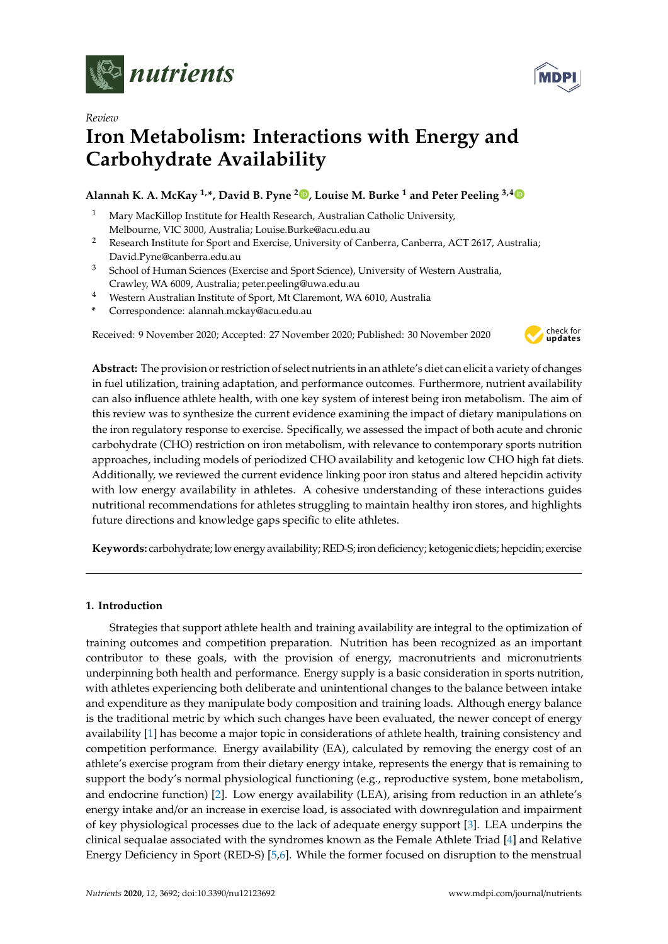

*Review*



# **Iron Metabolism: Interactions with Energy and Carbohydrate Availability**

# **Alannah K. A. McKay 1,\*, David B. Pyne [2](https://orcid.org/0000-0003-1555-5079) , Louise M. Burke <sup>1</sup> and Peter Peeling 3,[4](https://orcid.org/0000-0002-3895-0015)**

- <sup>1</sup> Mary MacKillop Institute for Health Research, Australian Catholic University, Melbourne, VIC 3000, Australia; Louise.Burke@acu.edu.au
- <sup>2</sup> Research Institute for Sport and Exercise, University of Canberra, Canberra, ACT 2617, Australia; David.Pyne@canberra.edu.au
- <sup>3</sup> School of Human Sciences (Exercise and Sport Science), University of Western Australia, Crawley, WA 6009, Australia; peter.peeling@uwa.edu.au
- <sup>4</sup> Western Australian Institute of Sport, Mt Claremont, WA 6010, Australia
- **\*** Correspondence: alannah.mckay@acu.edu.au

Received: 9 November 2020; Accepted: 27 November 2020; Published: 30 November 2020



**Abstract:** The provision or restriction of select nutrients in an athlete's diet can elicit a variety of changes in fuel utilization, training adaptation, and performance outcomes. Furthermore, nutrient availability can also influence athlete health, with one key system of interest being iron metabolism. The aim of this review was to synthesize the current evidence examining the impact of dietary manipulations on the iron regulatory response to exercise. Specifically, we assessed the impact of both acute and chronic carbohydrate (CHO) restriction on iron metabolism, with relevance to contemporary sports nutrition approaches, including models of periodized CHO availability and ketogenic low CHO high fat diets. Additionally, we reviewed the current evidence linking poor iron status and altered hepcidin activity with low energy availability in athletes. A cohesive understanding of these interactions guides nutritional recommendations for athletes struggling to maintain healthy iron stores, and highlights future directions and knowledge gaps specific to elite athletes.

**Keywords:** carbohydrate; low energy availability; RED-S;iron deficiency; ketogenic diets; hepcidin; exercise

## **1. Introduction**

Strategies that support athlete health and training availability are integral to the optimization of training outcomes and competition preparation. Nutrition has been recognized as an important contributor to these goals, with the provision of energy, macronutrients and micronutrients underpinning both health and performance. Energy supply is a basic consideration in sports nutrition, with athletes experiencing both deliberate and unintentional changes to the balance between intake and expenditure as they manipulate body composition and training loads. Although energy balance is the traditional metric by which such changes have been evaluated, the newer concept of energy availability [\[1\]](#page-11-0) has become a major topic in considerations of athlete health, training consistency and competition performance. Energy availability (EA), calculated by removing the energy cost of an athlete's exercise program from their dietary energy intake, represents the energy that is remaining to support the body's normal physiological functioning (e.g., reproductive system, bone metabolism, and endocrine function) [\[2\]](#page-11-1). Low energy availability (LEA), arising from reduction in an athlete's energy intake and/or an increase in exercise load, is associated with downregulation and impairment of key physiological processes due to the lack of adequate energy support [\[3\]](#page-11-2). LEA underpins the clinical sequalae associated with the syndromes known as the Female Athlete Triad [\[4\]](#page-11-3) and Relative Energy Deficiency in Sport (RED-S) [\[5](#page-11-4)[,6\]](#page-11-5). While the former focused on disruption to the menstrual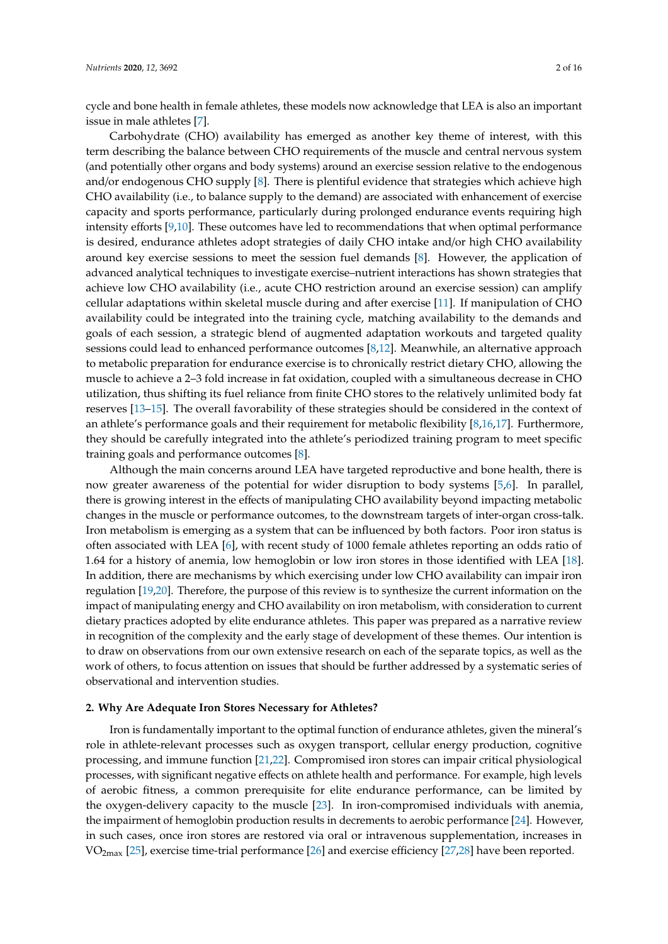cycle and bone health in female athletes, these models now acknowledge that LEA is also an important issue in male athletes [\[7\]](#page-11-6).

Carbohydrate (CHO) availability has emerged as another key theme of interest, with this term describing the balance between CHO requirements of the muscle and central nervous system (and potentially other organs and body systems) around an exercise session relative to the endogenous and/or endogenous CHO supply [\[8\]](#page-11-7). There is plentiful evidence that strategies which achieve high CHO availability (i.e., to balance supply to the demand) are associated with enhancement of exercise capacity and sports performance, particularly during prolonged endurance events requiring high intensity efforts [\[9,](#page-11-8)[10\]](#page-11-9). These outcomes have led to recommendations that when optimal performance is desired, endurance athletes adopt strategies of daily CHO intake and/or high CHO availability around key exercise sessions to meet the session fuel demands [\[8\]](#page-11-7). However, the application of advanced analytical techniques to investigate exercise–nutrient interactions has shown strategies that achieve low CHO availability (i.e., acute CHO restriction around an exercise session) can amplify cellular adaptations within skeletal muscle during and after exercise [\[11\]](#page-11-10). If manipulation of CHO availability could be integrated into the training cycle, matching availability to the demands and goals of each session, a strategic blend of augmented adaptation workouts and targeted quality sessions could lead to enhanced performance outcomes [\[8](#page-11-7)[,12\]](#page-11-11). Meanwhile, an alternative approach to metabolic preparation for endurance exercise is to chronically restrict dietary CHO, allowing the muscle to achieve a 2–3 fold increase in fat oxidation, coupled with a simultaneous decrease in CHO utilization, thus shifting its fuel reliance from finite CHO stores to the relatively unlimited body fat reserves [\[13](#page-11-12)[–15\]](#page-11-13). The overall favorability of these strategies should be considered in the context of an athlete's performance goals and their requirement for metabolic flexibility [\[8,](#page-11-7)[16](#page-11-14)[,17\]](#page-11-15). Furthermore, they should be carefully integrated into the athlete's periodized training program to meet specific training goals and performance outcomes [\[8\]](#page-11-7).

Although the main concerns around LEA have targeted reproductive and bone health, there is now greater awareness of the potential for wider disruption to body systems [\[5,](#page-11-4)[6\]](#page-11-5). In parallel, there is growing interest in the effects of manipulating CHO availability beyond impacting metabolic changes in the muscle or performance outcomes, to the downstream targets of inter-organ cross-talk. Iron metabolism is emerging as a system that can be influenced by both factors. Poor iron status is often associated with LEA [\[6\]](#page-11-5), with recent study of 1000 female athletes reporting an odds ratio of 1.64 for a history of anemia, low hemoglobin or low iron stores in those identified with LEA [\[18\]](#page-11-16). In addition, there are mechanisms by which exercising under low CHO availability can impair iron regulation [\[19,](#page-12-0)[20\]](#page-12-1). Therefore, the purpose of this review is to synthesize the current information on the impact of manipulating energy and CHO availability on iron metabolism, with consideration to current dietary practices adopted by elite endurance athletes. This paper was prepared as a narrative review in recognition of the complexity and the early stage of development of these themes. Our intention is to draw on observations from our own extensive research on each of the separate topics, as well as the work of others, to focus attention on issues that should be further addressed by a systematic series of observational and intervention studies.

# **2. Why Are Adequate Iron Stores Necessary for Athletes?**

Iron is fundamentally important to the optimal function of endurance athletes, given the mineral's role in athlete-relevant processes such as oxygen transport, cellular energy production, cognitive processing, and immune function [\[21,](#page-12-2)[22\]](#page-12-3). Compromised iron stores can impair critical physiological processes, with significant negative effects on athlete health and performance. For example, high levels of aerobic fitness, a common prerequisite for elite endurance performance, can be limited by the oxygen-delivery capacity to the muscle [\[23\]](#page-12-4). In iron-compromised individuals with anemia, the impairment of hemoglobin production results in decrements to aerobic performance [\[24\]](#page-12-5). However, in such cases, once iron stores are restored via oral or intravenous supplementation, increases in VO2max [\[25\]](#page-12-6), exercise time-trial performance [\[26\]](#page-12-7) and exercise efficiency [\[27,](#page-12-8)[28\]](#page-12-9) have been reported.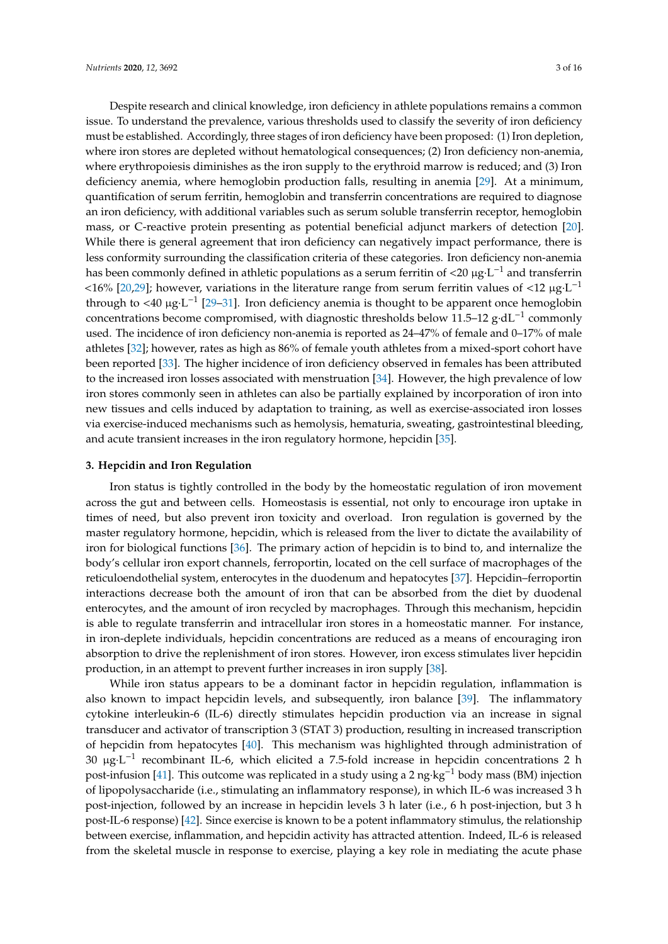Despite research and clinical knowledge, iron deficiency in athlete populations remains a common issue. To understand the prevalence, various thresholds used to classify the severity of iron deficiency must be established. Accordingly, three stages of iron deficiency have been proposed: (1) Iron depletion, where iron stores are depleted without hematological consequences; (2) Iron deficiency non-anemia, where erythropoiesis diminishes as the iron supply to the erythroid marrow is reduced; and (3) Iron deficiency anemia, where hemoglobin production falls, resulting in anemia [\[29\]](#page-12-10). At a minimum, quantification of serum ferritin, hemoglobin and transferrin concentrations are required to diagnose an iron deficiency, with additional variables such as serum soluble transferrin receptor, hemoglobin mass, or C-reactive protein presenting as potential beneficial adjunct markers of detection [\[20\]](#page-12-1). While there is general agreement that iron deficiency can negatively impact performance, there is less conformity surrounding the classification criteria of these categories. Iron deficiency non-anemia has been commonly defined in athletic populations as a serum ferritin of <20  $\mu$ g·L<sup>-1</sup> and transferrin <16% [\[20,](#page-12-1)[29\]](#page-12-10); however, variations in the literature range from serum ferritin values of <12 µg·L −1 through to <40  $\mu$ g·L<sup>-1</sup> [\[29](#page-12-10)-31]. Iron deficiency anemia is thought to be apparent once hemoglobin concentrations become compromised, with diagnostic thresholds below 11.5–12 g·dL−<sup>1</sup> commonly used. The incidence of iron deficiency non-anemia is reported as 24–47% of female and 0–17% of male athletes [\[32\]](#page-12-12); however, rates as high as 86% of female youth athletes from a mixed-sport cohort have been reported [\[33\]](#page-12-13). The higher incidence of iron deficiency observed in females has been attributed to the increased iron losses associated with menstruation [\[34\]](#page-12-14). However, the high prevalence of low iron stores commonly seen in athletes can also be partially explained by incorporation of iron into new tissues and cells induced by adaptation to training, as well as exercise-associated iron losses via exercise-induced mechanisms such as hemolysis, hematuria, sweating, gastrointestinal bleeding, and acute transient increases in the iron regulatory hormone, hepcidin [\[35\]](#page-12-15).

#### **3. Hepcidin and Iron Regulation**

Iron status is tightly controlled in the body by the homeostatic regulation of iron movement across the gut and between cells. Homeostasis is essential, not only to encourage iron uptake in times of need, but also prevent iron toxicity and overload. Iron regulation is governed by the master regulatory hormone, hepcidin, which is released from the liver to dictate the availability of iron for biological functions [\[36\]](#page-12-16). The primary action of hepcidin is to bind to, and internalize the body's cellular iron export channels, ferroportin, located on the cell surface of macrophages of the reticuloendothelial system, enterocytes in the duodenum and hepatocytes [\[37\]](#page-12-17). Hepcidin–ferroportin interactions decrease both the amount of iron that can be absorbed from the diet by duodenal enterocytes, and the amount of iron recycled by macrophages. Through this mechanism, hepcidin is able to regulate transferrin and intracellular iron stores in a homeostatic manner. For instance, in iron-deplete individuals, hepcidin concentrations are reduced as a means of encouraging iron absorption to drive the replenishment of iron stores. However, iron excess stimulates liver hepcidin production, in an attempt to prevent further increases in iron supply [\[38\]](#page-12-18).

While iron status appears to be a dominant factor in hepcidin regulation, inflammation is also known to impact hepcidin levels, and subsequently, iron balance [\[39\]](#page-12-19). The inflammatory cytokine interleukin-6 (IL-6) directly stimulates hepcidin production via an increase in signal transducer and activator of transcription 3 (STAT 3) production, resulting in increased transcription of hepcidin from hepatocytes [\[40\]](#page-12-20). This mechanism was highlighted through administration of 30 µg·L −1 recombinant IL-6, which elicited a 7.5-fold increase in hepcidin concentrations 2 h post-infusion [\[41\]](#page-12-21). This outcome was replicated in a study using a 2 ng·kg−<sup>1</sup> body mass (BM) injection of lipopolysaccharide (i.e., stimulating an inflammatory response), in which IL-6 was increased 3 h post-injection, followed by an increase in hepcidin levels 3 h later (i.e., 6 h post-injection, but 3 h post-IL-6 response) [\[42\]](#page-12-22). Since exercise is known to be a potent inflammatory stimulus, the relationship between exercise, inflammation, and hepcidin activity has attracted attention. Indeed, IL-6 is released from the skeletal muscle in response to exercise, playing a key role in mediating the acute phase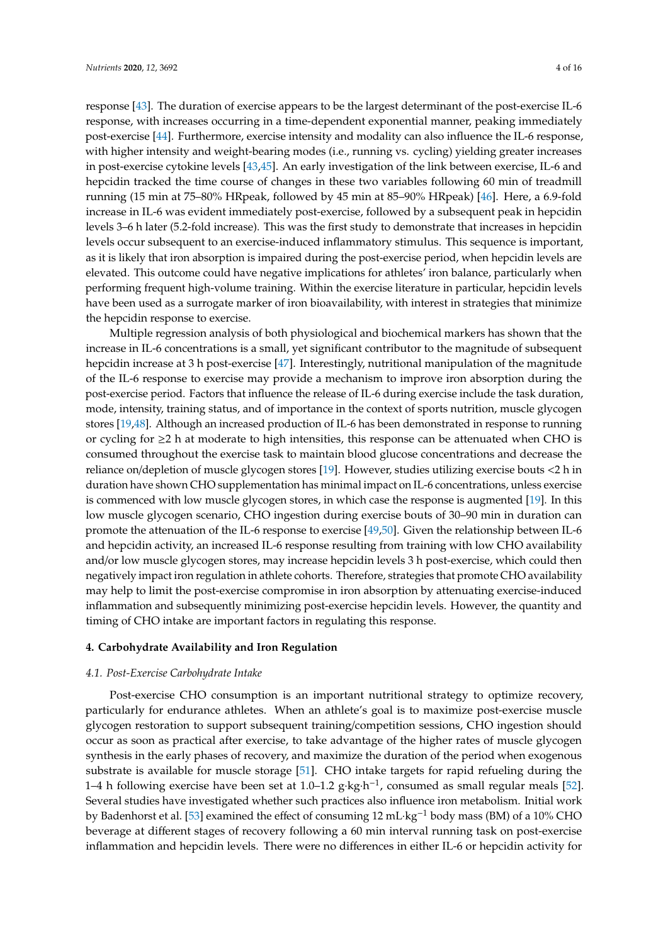response [\[43\]](#page-13-0). The duration of exercise appears to be the largest determinant of the post-exercise IL-6 response, with increases occurring in a time-dependent exponential manner, peaking immediately post-exercise [\[44\]](#page-13-1). Furthermore, exercise intensity and modality can also influence the IL-6 response, with higher intensity and weight-bearing modes (i.e., running vs. cycling) yielding greater increases in post-exercise cytokine levels [\[43](#page-13-0)[,45\]](#page-13-2). An early investigation of the link between exercise, IL-6 and hepcidin tracked the time course of changes in these two variables following 60 min of treadmill running (15 min at 75–80% HRpeak, followed by 45 min at 85–90% HRpeak) [\[46\]](#page-13-3). Here, a 6.9-fold increase in IL-6 was evident immediately post-exercise, followed by a subsequent peak in hepcidin levels 3–6 h later (5.2-fold increase). This was the first study to demonstrate that increases in hepcidin levels occur subsequent to an exercise-induced inflammatory stimulus. This sequence is important, as it is likely that iron absorption is impaired during the post-exercise period, when hepcidin levels are elevated. This outcome could have negative implications for athletes' iron balance, particularly when performing frequent high-volume training. Within the exercise literature in particular, hepcidin levels have been used as a surrogate marker of iron bioavailability, with interest in strategies that minimize the hepcidin response to exercise.

Multiple regression analysis of both physiological and biochemical markers has shown that the increase in IL-6 concentrations is a small, yet significant contributor to the magnitude of subsequent hepcidin increase at 3 h post-exercise [\[47\]](#page-13-4). Interestingly, nutritional manipulation of the magnitude of the IL-6 response to exercise may provide a mechanism to improve iron absorption during the post-exercise period. Factors that influence the release of IL-6 during exercise include the task duration, mode, intensity, training status, and of importance in the context of sports nutrition, muscle glycogen stores [\[19,](#page-12-0)[48\]](#page-13-5). Although an increased production of IL-6 has been demonstrated in response to running or cycling for ≥2 h at moderate to high intensities, this response can be attenuated when CHO is consumed throughout the exercise task to maintain blood glucose concentrations and decrease the reliance on/depletion of muscle glycogen stores [\[19\]](#page-12-0). However, studies utilizing exercise bouts <2 h in duration have shown CHO supplementation has minimal impact on IL-6 concentrations, unless exercise is commenced with low muscle glycogen stores, in which case the response is augmented [\[19\]](#page-12-0). In this low muscle glycogen scenario, CHO ingestion during exercise bouts of 30–90 min in duration can promote the attenuation of the IL-6 response to exercise [\[49](#page-13-6)[,50\]](#page-13-7). Given the relationship between IL-6 and hepcidin activity, an increased IL-6 response resulting from training with low CHO availability and/or low muscle glycogen stores, may increase hepcidin levels 3 h post-exercise, which could then negatively impact iron regulation in athlete cohorts. Therefore, strategies that promote CHO availability may help to limit the post-exercise compromise in iron absorption by attenuating exercise-induced inflammation and subsequently minimizing post-exercise hepcidin levels. However, the quantity and timing of CHO intake are important factors in regulating this response.

#### **4. Carbohydrate Availability and Iron Regulation**

#### *4.1. Post-Exercise Carbohydrate Intake*

Post-exercise CHO consumption is an important nutritional strategy to optimize recovery, particularly for endurance athletes. When an athlete's goal is to maximize post-exercise muscle glycogen restoration to support subsequent training/competition sessions, CHO ingestion should occur as soon as practical after exercise, to take advantage of the higher rates of muscle glycogen synthesis in the early phases of recovery, and maximize the duration of the period when exogenous substrate is available for muscle storage [\[51\]](#page-13-8). CHO intake targets for rapid refueling during the 1–4 h following exercise have been set at 1.0–1.2 g·kg·h<sup>-1</sup>, consumed as small regular meals [\[52\]](#page-13-9). Several studies have investigated whether such practices also influence iron metabolism. Initial work by Badenhorst et al. [\[53\]](#page-13-10) examined the effect of consuming 12 mL·kg−<sup>1</sup> body mass (BM) of a 10% CHO beverage at different stages of recovery following a 60 min interval running task on post-exercise inflammation and hepcidin levels. There were no differences in either IL-6 or hepcidin activity for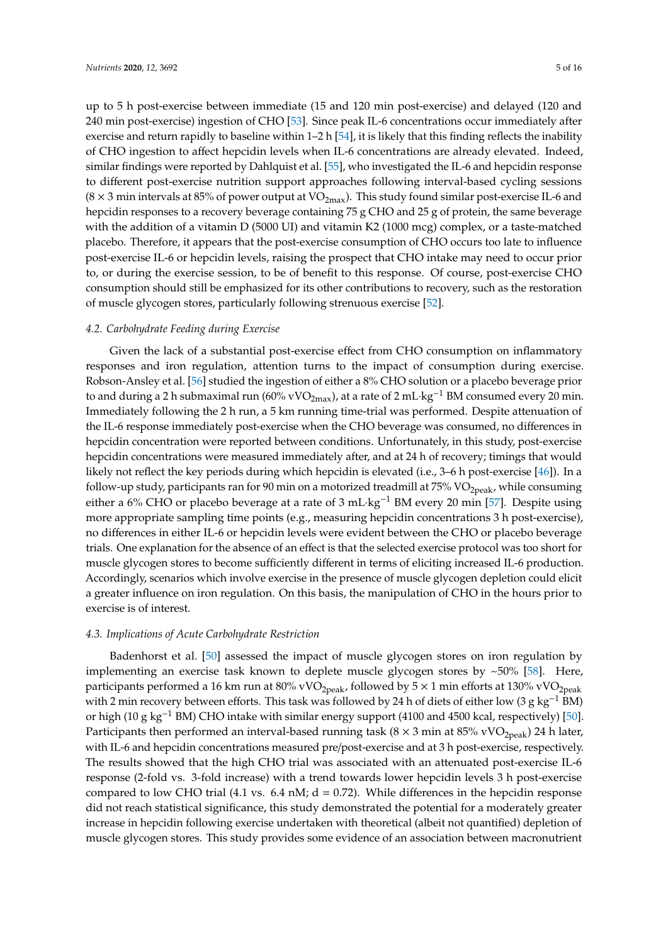up to 5 h post-exercise between immediate (15 and 120 min post-exercise) and delayed (120 and 240 min post-exercise) ingestion of CHO [\[53\]](#page-13-10). Since peak IL-6 concentrations occur immediately after exercise and return rapidly to baseline within  $1-2$  h [\[54\]](#page-13-11), it is likely that this finding reflects the inability of CHO ingestion to affect hepcidin levels when IL-6 concentrations are already elevated. Indeed, similar findings were reported by Dahlquist et al. [\[55\]](#page-13-12), who investigated the IL-6 and hepcidin response to different post-exercise nutrition support approaches following interval-based cycling sessions  $(8 \times 3 \text{ min intervals at } 85\% \text{ of power output at VO}_{2\text{max}})$ . This study found similar post-exercise IL-6 and hepcidin responses to a recovery beverage containing 75 g CHO and 25 g of protein, the same beverage with the addition of a vitamin D (5000 UI) and vitamin K2 (1000 mcg) complex, or a taste-matched placebo. Therefore, it appears that the post-exercise consumption of CHO occurs too late to influence post-exercise IL-6 or hepcidin levels, raising the prospect that CHO intake may need to occur prior to, or during the exercise session, to be of benefit to this response. Of course, post-exercise CHO consumption should still be emphasized for its other contributions to recovery, such as the restoration of muscle glycogen stores, particularly following strenuous exercise [\[52\]](#page-13-9).

#### *4.2. Carbohydrate Feeding during Exercise*

Given the lack of a substantial post-exercise effect from CHO consumption on inflammatory responses and iron regulation, attention turns to the impact of consumption during exercise. Robson-Ansley et al. [\[56\]](#page-13-13) studied the ingestion of either a 8% CHO solution or a placebo beverage prior to and during a 2 h submaximal run (60% vVO<sub>2max</sub>), at a rate of 2 mL·kg<sup>-1</sup> BM consumed every 20 min. Immediately following the 2 h run, a 5 km running time-trial was performed. Despite attenuation of the IL-6 response immediately post-exercise when the CHO beverage was consumed, no differences in hepcidin concentration were reported between conditions. Unfortunately, in this study, post-exercise hepcidin concentrations were measured immediately after, and at 24 h of recovery; timings that would likely not reflect the key periods during which hepcidin is elevated (i.e., 3–6 h post-exercise [\[46\]](#page-13-3)). In a follow-up study, participants ran for 90 min on a motorized treadmill at  $75\%$  VO<sub>2peak</sub>, while consuming either a 6% CHO or placebo beverage at a rate of 3 mL·kg<sup>-1</sup> BM every 20 min [\[57\]](#page-13-14). Despite using more appropriate sampling time points (e.g., measuring hepcidin concentrations 3 h post-exercise), no differences in either IL-6 or hepcidin levels were evident between the CHO or placebo beverage trials. One explanation for the absence of an effect is that the selected exercise protocol was too short for muscle glycogen stores to become sufficiently different in terms of eliciting increased IL-6 production. Accordingly, scenarios which involve exercise in the presence of muscle glycogen depletion could elicit a greater influence on iron regulation. On this basis, the manipulation of CHO in the hours prior to exercise is of interest.

#### *4.3. Implications of Acute Carbohydrate Restriction*

Badenhorst et al. [\[50\]](#page-13-7) assessed the impact of muscle glycogen stores on iron regulation by implementing an exercise task known to deplete muscle glycogen stores by ~50% [\[58\]](#page-13-15). Here, participants performed a 16 km run at 80% vVO<sub>2peak</sub>, followed by  $5 \times 1$  min efforts at 130% vVO<sub>2peak</sub> with 2 min recovery between efforts. This task was followed by 24 h of diets of either low (3 g kg<sup>-1</sup> BM) or high (10 g kg<sup>-1</sup> BM) CHO intake with similar energy support (4100 and 4500 kcal, respectively) [\[50\]](#page-13-7). Participants then performed an interval-based running task ( $8 \times 3$  min at  $85\%$  vVO<sub>2peak</sub>) 24 h later, with IL-6 and hepcidin concentrations measured pre/post-exercise and at 3 h post-exercise, respectively. The results showed that the high CHO trial was associated with an attenuated post-exercise IL-6 response (2-fold vs. 3-fold increase) with a trend towards lower hepcidin levels 3 h post-exercise compared to low CHO trial (4.1 vs.  $6.4$  nM;  $d = 0.72$ ). While differences in the hepcidin response did not reach statistical significance, this study demonstrated the potential for a moderately greater increase in hepcidin following exercise undertaken with theoretical (albeit not quantified) depletion of muscle glycogen stores. This study provides some evidence of an association between macronutrient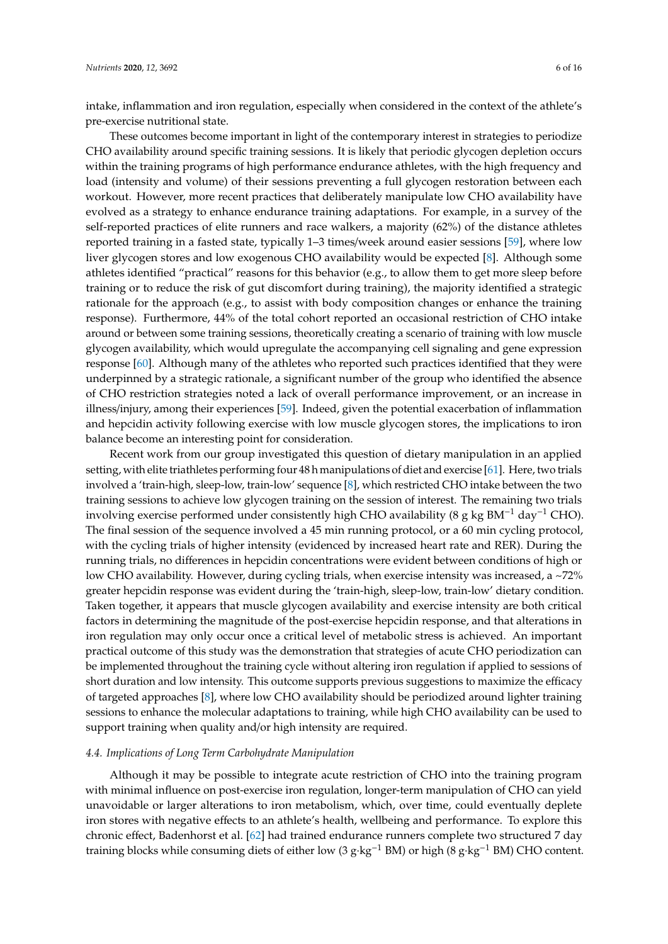intake, inflammation and iron regulation, especially when considered in the context of the athlete's pre-exercise nutritional state.

These outcomes become important in light of the contemporary interest in strategies to periodize CHO availability around specific training sessions. It is likely that periodic glycogen depletion occurs within the training programs of high performance endurance athletes, with the high frequency and load (intensity and volume) of their sessions preventing a full glycogen restoration between each workout. However, more recent practices that deliberately manipulate low CHO availability have evolved as a strategy to enhance endurance training adaptations. For example, in a survey of the self-reported practices of elite runners and race walkers, a majority (62%) of the distance athletes reported training in a fasted state, typically 1–3 times/week around easier sessions [\[59\]](#page-13-16), where low liver glycogen stores and low exogenous CHO availability would be expected [\[8\]](#page-11-7). Although some athletes identified "practical" reasons for this behavior (e.g., to allow them to get more sleep before training or to reduce the risk of gut discomfort during training), the majority identified a strategic rationale for the approach (e.g., to assist with body composition changes or enhance the training response). Furthermore, 44% of the total cohort reported an occasional restriction of CHO intake around or between some training sessions, theoretically creating a scenario of training with low muscle glycogen availability, which would upregulate the accompanying cell signaling and gene expression response [\[60\]](#page-13-17). Although many of the athletes who reported such practices identified that they were underpinned by a strategic rationale, a significant number of the group who identified the absence of CHO restriction strategies noted a lack of overall performance improvement, or an increase in illness/injury, among their experiences [\[59\]](#page-13-16). Indeed, given the potential exacerbation of inflammation and hepcidin activity following exercise with low muscle glycogen stores, the implications to iron balance become an interesting point for consideration.

Recent work from our group investigated this question of dietary manipulation in an applied setting, with elite triathletes performing four 48 h manipulations of diet and exercise [\[61\]](#page-13-18). Here, two trials involved a 'train-high, sleep-low, train-low' sequence [\[8\]](#page-11-7), which restricted CHO intake between the two training sessions to achieve low glycogen training on the session of interest. The remaining two trials involving exercise performed under consistently high CHO availability (8 g kg BM<sup>-1</sup> day<sup>-1</sup> CHO). The final session of the sequence involved a 45 min running protocol, or a 60 min cycling protocol, with the cycling trials of higher intensity (evidenced by increased heart rate and RER). During the running trials, no differences in hepcidin concentrations were evident between conditions of high or low CHO availability. However, during cycling trials, when exercise intensity was increased, a ~72% greater hepcidin response was evident during the 'train-high, sleep-low, train-low' dietary condition. Taken together, it appears that muscle glycogen availability and exercise intensity are both critical factors in determining the magnitude of the post-exercise hepcidin response, and that alterations in iron regulation may only occur once a critical level of metabolic stress is achieved. An important practical outcome of this study was the demonstration that strategies of acute CHO periodization can be implemented throughout the training cycle without altering iron regulation if applied to sessions of short duration and low intensity. This outcome supports previous suggestions to maximize the efficacy of targeted approaches [\[8\]](#page-11-7), where low CHO availability should be periodized around lighter training sessions to enhance the molecular adaptations to training, while high CHO availability can be used to support training when quality and/or high intensity are required.

#### *4.4. Implications of Long Term Carbohydrate Manipulation*

Although it may be possible to integrate acute restriction of CHO into the training program with minimal influence on post-exercise iron regulation, longer-term manipulation of CHO can yield unavoidable or larger alterations to iron metabolism, which, over time, could eventually deplete iron stores with negative effects to an athlete's health, wellbeing and performance. To explore this chronic effect, Badenhorst et al. [\[62\]](#page-13-19) had trained endurance runners complete two structured 7 day training blocks while consuming diets of either low (3 g·kg<sup>-1</sup> BM) or high (8 g·kg<sup>-1</sup> BM) CHO content.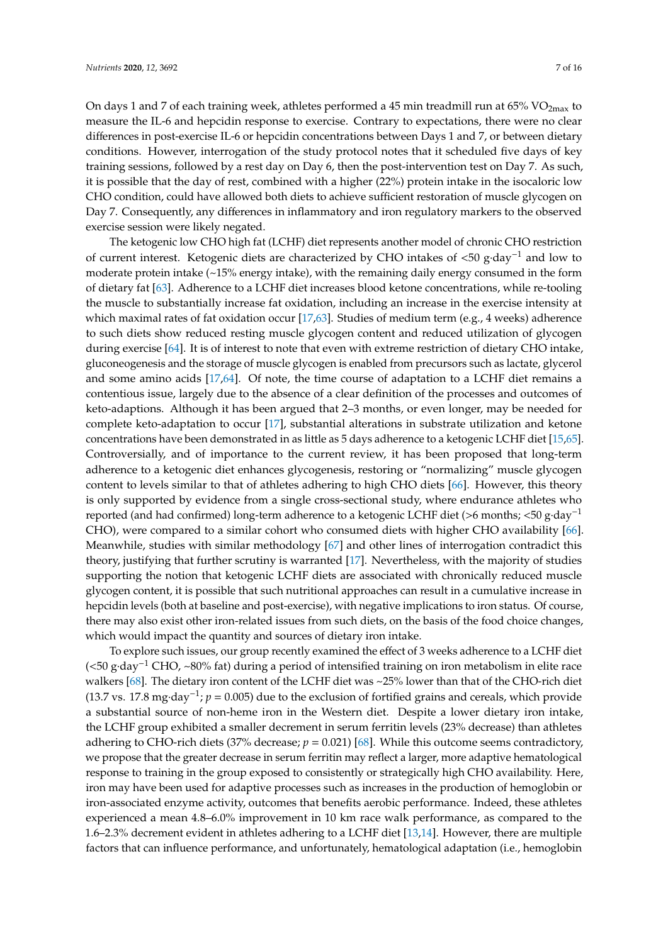On days 1 and 7 of each training week, athletes performed a 45 min treadmill run at 65% VO<sub>2max</sub> to measure the IL-6 and hepcidin response to exercise. Contrary to expectations, there were no clear differences in post-exercise IL-6 or hepcidin concentrations between Days 1 and 7, or between dietary conditions. However, interrogation of the study protocol notes that it scheduled five days of key training sessions, followed by a rest day on Day 6, then the post-intervention test on Day 7. As such, it is possible that the day of rest, combined with a higher (22%) protein intake in the isocaloric low CHO condition, could have allowed both diets to achieve sufficient restoration of muscle glycogen on Day 7. Consequently, any differences in inflammatory and iron regulatory markers to the observed exercise session were likely negated.

The ketogenic low CHO high fat (LCHF) diet represents another model of chronic CHO restriction of current interest. Ketogenic diets are characterized by CHO intakes of <50 g·day−<sup>1</sup> and low to moderate protein intake (~15% energy intake), with the remaining daily energy consumed in the form of dietary fat [\[63\]](#page-13-20). Adherence to a LCHF diet increases blood ketone concentrations, while re-tooling the muscle to substantially increase fat oxidation, including an increase in the exercise intensity at which maximal rates of fat oxidation occur [\[17,](#page-11-15)[63\]](#page-13-20). Studies of medium term (e.g., 4 weeks) adherence to such diets show reduced resting muscle glycogen content and reduced utilization of glycogen during exercise [\[64\]](#page-14-0). It is of interest to note that even with extreme restriction of dietary CHO intake, gluconeogenesis and the storage of muscle glycogen is enabled from precursors such as lactate, glycerol and some amino acids  $[17,64]$  $[17,64]$ . Of note, the time course of adaptation to a LCHF diet remains a contentious issue, largely due to the absence of a clear definition of the processes and outcomes of keto-adaptions. Although it has been argued that 2–3 months, or even longer, may be needed for complete keto-adaptation to occur [\[17\]](#page-11-15), substantial alterations in substrate utilization and ketone concentrations have been demonstrated in as little as 5 days adherence to a ketogenic LCHF diet [\[15](#page-11-13)[,65\]](#page-14-1). Controversially, and of importance to the current review, it has been proposed that long-term adherence to a ketogenic diet enhances glycogenesis, restoring or "normalizing" muscle glycogen content to levels similar to that of athletes adhering to high CHO diets [\[66\]](#page-14-2). However, this theory is only supported by evidence from a single cross-sectional study, where endurance athletes who reported (and had confirmed) long-term adherence to a ketogenic LCHF diet (>6 months; <50 g·day−<sup>1</sup> CHO), were compared to a similar cohort who consumed diets with higher CHO availability [\[66\]](#page-14-2). Meanwhile, studies with similar methodology [\[67\]](#page-14-3) and other lines of interrogation contradict this theory, justifying that further scrutiny is warranted [\[17\]](#page-11-15). Nevertheless, with the majority of studies supporting the notion that ketogenic LCHF diets are associated with chronically reduced muscle glycogen content, it is possible that such nutritional approaches can result in a cumulative increase in hepcidin levels (both at baseline and post-exercise), with negative implications to iron status. Of course, there may also exist other iron-related issues from such diets, on the basis of the food choice changes, which would impact the quantity and sources of dietary iron intake.

To explore such issues, our group recently examined the effect of 3 weeks adherence to a LCHF diet (<50 g·day−<sup>1</sup> CHO, ~80% fat) during a period of intensified training on iron metabolism in elite race walkers [\[68\]](#page-14-4). The dietary iron content of the LCHF diet was ~25% lower than that of the CHO-rich diet (13.7 vs. 17.8 mg·day<sup>-1</sup>;  $p = 0.005$ ) due to the exclusion of fortified grains and cereals, which provide a substantial source of non-heme iron in the Western diet. Despite a lower dietary iron intake, the LCHF group exhibited a smaller decrement in serum ferritin levels (23% decrease) than athletes adhering to CHO-rich diets (37% decrease; *p* = 0.021) [\[68\]](#page-14-4). While this outcome seems contradictory, we propose that the greater decrease in serum ferritin may reflect a larger, more adaptive hematological response to training in the group exposed to consistently or strategically high CHO availability. Here, iron may have been used for adaptive processes such as increases in the production of hemoglobin or iron-associated enzyme activity, outcomes that benefits aerobic performance. Indeed, these athletes experienced a mean 4.8–6.0% improvement in 10 km race walk performance, as compared to the 1.6–2.3% decrement evident in athletes adhering to a LCHF diet [\[13](#page-11-12)[,14\]](#page-11-17). However, there are multiple factors that can influence performance, and unfortunately, hematological adaptation (i.e., hemoglobin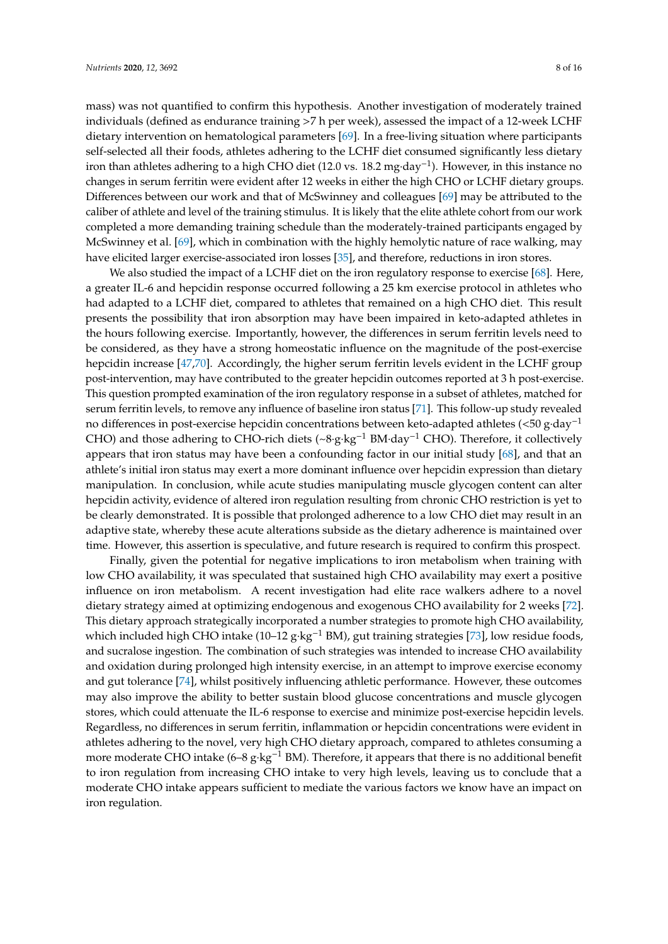mass) was not quantified to confirm this hypothesis. Another investigation of moderately trained individuals (defined as endurance training >7 h per week), assessed the impact of a 12-week LCHF dietary intervention on hematological parameters [\[69\]](#page-14-5). In a free-living situation where participants self-selected all their foods, athletes adhering to the LCHF diet consumed significantly less dietary iron than athletes adhering to a high CHO diet (12.0 vs. 18.2 mg·day−<sup>1</sup> ). However, in this instance no changes in serum ferritin were evident after 12 weeks in either the high CHO or LCHF dietary groups. Differences between our work and that of McSwinney and colleagues [\[69\]](#page-14-5) may be attributed to the caliber of athlete and level of the training stimulus. It is likely that the elite athlete cohort from our work completed a more demanding training schedule than the moderately-trained participants engaged by McSwinney et al. [\[69\]](#page-14-5), which in combination with the highly hemolytic nature of race walking, may have elicited larger exercise-associated iron losses [\[35\]](#page-12-15), and therefore, reductions in iron stores.

We also studied the impact of a LCHF diet on the iron regulatory response to exercise [\[68\]](#page-14-4). Here, a greater IL-6 and hepcidin response occurred following a 25 km exercise protocol in athletes who had adapted to a LCHF diet, compared to athletes that remained on a high CHO diet. This result presents the possibility that iron absorption may have been impaired in keto-adapted athletes in the hours following exercise. Importantly, however, the differences in serum ferritin levels need to be considered, as they have a strong homeostatic influence on the magnitude of the post-exercise hepcidin increase [\[47,](#page-13-4)[70\]](#page-14-6). Accordingly, the higher serum ferritin levels evident in the LCHF group post-intervention, may have contributed to the greater hepcidin outcomes reported at 3 h post-exercise. This question prompted examination of the iron regulatory response in a subset of athletes, matched for serum ferritin levels, to remove any influence of baseline iron status [\[71\]](#page-14-7). This follow-up study revealed no differences in post-exercise hepcidin concentrations between keto-adapted athletes (<50 g·day−<sup>1</sup> CHO) and those adhering to CHO-rich diets (~8·g·kg−<sup>1</sup> BM·day−<sup>1</sup> CHO). Therefore, it collectively appears that iron status may have been a confounding factor in our initial study [\[68\]](#page-14-4), and that an athlete's initial iron status may exert a more dominant influence over hepcidin expression than dietary manipulation. In conclusion, while acute studies manipulating muscle glycogen content can alter hepcidin activity, evidence of altered iron regulation resulting from chronic CHO restriction is yet to be clearly demonstrated. It is possible that prolonged adherence to a low CHO diet may result in an adaptive state, whereby these acute alterations subside as the dietary adherence is maintained over time. However, this assertion is speculative, and future research is required to confirm this prospect.

Finally, given the potential for negative implications to iron metabolism when training with low CHO availability, it was speculated that sustained high CHO availability may exert a positive influence on iron metabolism. A recent investigation had elite race walkers adhere to a novel dietary strategy aimed at optimizing endogenous and exogenous CHO availability for 2 weeks [\[72\]](#page-14-8). This dietary approach strategically incorporated a number strategies to promote high CHO availability, which included high CHO intake (10–12 g·kg<sup>-1</sup> BM), gut training strategies [\[73\]](#page-14-9), low residue foods, and sucralose ingestion. The combination of such strategies was intended to increase CHO availability and oxidation during prolonged high intensity exercise, in an attempt to improve exercise economy and gut tolerance [\[74\]](#page-14-10), whilst positively influencing athletic performance. However, these outcomes may also improve the ability to better sustain blood glucose concentrations and muscle glycogen stores, which could attenuate the IL-6 response to exercise and minimize post-exercise hepcidin levels. Regardless, no differences in serum ferritin, inflammation or hepcidin concentrations were evident in athletes adhering to the novel, very high CHO dietary approach, compared to athletes consuming a more moderate CHO intake  $(6–8 \text{ g} \cdot \text{kg}^{-1} \text{ BM})$ . Therefore, it appears that there is no additional benefit to iron regulation from increasing CHO intake to very high levels, leaving us to conclude that a moderate CHO intake appears sufficient to mediate the various factors we know have an impact on iron regulation.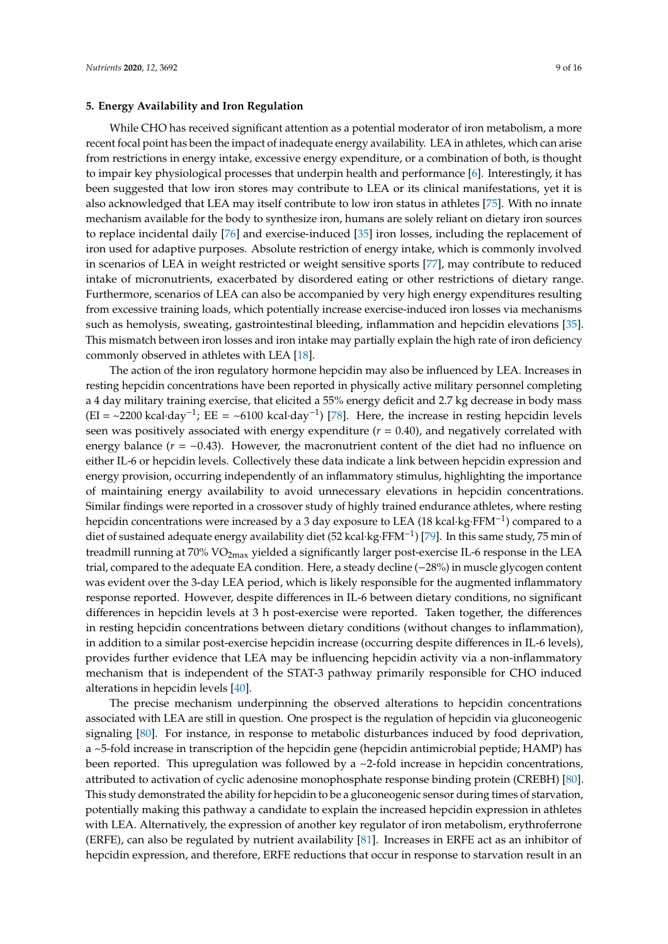#### **5. Energy Availability and Iron Regulation**

While CHO has received significant attention as a potential moderator of iron metabolism, a more recent focal point has been the impact of inadequate energy availability. LEA in athletes, which can arise from restrictions in energy intake, excessive energy expenditure, or a combination of both, is thought to impair key physiological processes that underpin health and performance [\[6\]](#page-11-5). Interestingly, it has been suggested that low iron stores may contribute to LEA or its clinical manifestations, yet it is also acknowledged that LEA may itself contribute to low iron status in athletes [\[75\]](#page-14-11). With no innate mechanism available for the body to synthesize iron, humans are solely reliant on dietary iron sources to replace incidental daily [\[76\]](#page-14-12) and exercise-induced [\[35\]](#page-12-15) iron losses, including the replacement of iron used for adaptive purposes. Absolute restriction of energy intake, which is commonly involved in scenarios of LEA in weight restricted or weight sensitive sports [\[77\]](#page-14-13), may contribute to reduced intake of micronutrients, exacerbated by disordered eating or other restrictions of dietary range. Furthermore, scenarios of LEA can also be accompanied by very high energy expenditures resulting from excessive training loads, which potentially increase exercise-induced iron losses via mechanisms such as hemolysis, sweating, gastrointestinal bleeding, inflammation and hepcidin elevations [\[35\]](#page-12-15). This mismatch between iron losses and iron intake may partially explain the high rate of iron deficiency commonly observed in athletes with LEA [\[18\]](#page-11-16).

The action of the iron regulatory hormone hepcidin may also be influenced by LEA. Increases in resting hepcidin concentrations have been reported in physically active military personnel completing a 4 day military training exercise, that elicited a 55% energy deficit and 2.7 kg decrease in body mass (EI = ~2200 kcal·day<sup>-1</sup>; EE = ~6100 kcal·day<sup>-1</sup>) [\[78\]](#page-14-14). Here, the increase in resting hepcidin levels seen was positively associated with energy expenditure  $(r = 0.40)$ , and negatively correlated with energy balance  $(r = -0.43)$ . However, the macronutrient content of the diet had no influence on either IL-6 or hepcidin levels. Collectively these data indicate a link between hepcidin expression and energy provision, occurring independently of an inflammatory stimulus, highlighting the importance of maintaining energy availability to avoid unnecessary elevations in hepcidin concentrations. Similar findings were reported in a crossover study of highly trained endurance athletes, where resting hepcidin concentrations were increased by a 3 day exposure to LEA (18 kcal·kg·FFM<sup>-1</sup>) compared to a diet of sustained adequate energy availability diet (52 kcal·kg·FFM−<sup>1</sup> ) [\[79\]](#page-14-15). In this same study, 75 min of treadmill running at  $70\%$  VO<sub>2max</sub> yielded a significantly larger post-exercise IL-6 response in the LEA trial, compared to the adequate EA condition. Here, a steady decline (−28%) in muscle glycogen content was evident over the 3-day LEA period, which is likely responsible for the augmented inflammatory response reported. However, despite differences in IL-6 between dietary conditions, no significant differences in hepcidin levels at 3 h post-exercise were reported. Taken together, the differences in resting hepcidin concentrations between dietary conditions (without changes to inflammation), in addition to a similar post-exercise hepcidin increase (occurring despite differences in IL-6 levels), provides further evidence that LEA may be influencing hepcidin activity via a non-inflammatory mechanism that is independent of the STAT-3 pathway primarily responsible for CHO induced alterations in hepcidin levels [\[40\]](#page-12-20).

The precise mechanism underpinning the observed alterations to hepcidin concentrations associated with LEA are still in question. One prospect is the regulation of hepcidin via gluconeogenic signaling [\[80\]](#page-14-16). For instance, in response to metabolic disturbances induced by food deprivation, a ~5-fold increase in transcription of the hepcidin gene (hepcidin antimicrobial peptide; HAMP) has been reported. This upregulation was followed by a ~2-fold increase in hepcidin concentrations, attributed to activation of cyclic adenosine monophosphate response binding protein (CREBH) [\[80\]](#page-14-16). This study demonstrated the ability for hepcidin to be a gluconeogenic sensor during times of starvation, potentially making this pathway a candidate to explain the increased hepcidin expression in athletes with LEA. Alternatively, the expression of another key regulator of iron metabolism, erythroferrone (ERFE), can also be regulated by nutrient availability [\[81\]](#page-14-17). Increases in ERFE act as an inhibitor of hepcidin expression, and therefore, ERFE reductions that occur in response to starvation result in an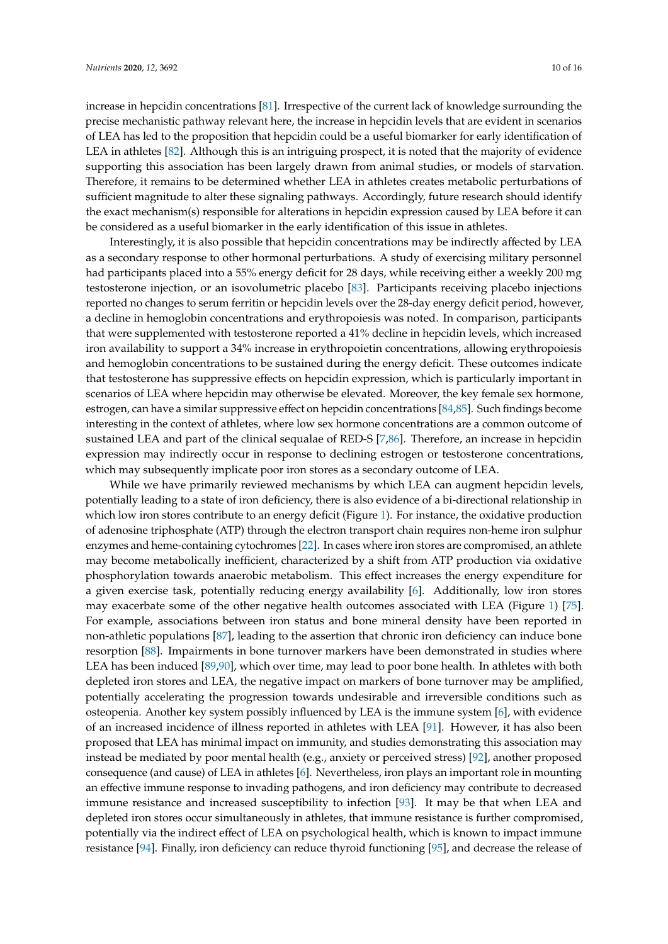increase in hepcidin concentrations [\[81\]](#page-14-17). Irrespective of the current lack of knowledge surrounding the precise mechanistic pathway relevant here, the increase in hepcidin levels that are evident in scenarios of LEA has led to the proposition that hepcidin could be a useful biomarker for early identification of LEA in athletes [\[82\]](#page-14-18). Although this is an intriguing prospect, it is noted that the majority of evidence supporting this association has been largely drawn from animal studies, or models of starvation. Therefore, it remains to be determined whether LEA in athletes creates metabolic perturbations of sufficient magnitude to alter these signaling pathways. Accordingly, future research should identify the exact mechanism(s) responsible for alterations in hepcidin expression caused by LEA before it can be considered as a useful biomarker in the early identification of this issue in athletes.

Interestingly, it is also possible that hepcidin concentrations may be indirectly affected by LEA as a secondary response to other hormonal perturbations. A study of exercising military personnel had participants placed into a 55% energy deficit for 28 days, while receiving either a weekly 200 mg testosterone injection, or an isovolumetric placebo [\[83\]](#page-14-19). Participants receiving placebo injections reported no changes to serum ferritin or hepcidin levels over the 28-day energy deficit period, however, a decline in hemoglobin concentrations and erythropoiesis was noted. In comparison, participants that were supplemented with testosterone reported a 41% decline in hepcidin levels, which increased iron availability to support a 34% increase in erythropoietin concentrations, allowing erythropoiesis and hemoglobin concentrations to be sustained during the energy deficit. These outcomes indicate that testosterone has suppressive effects on hepcidin expression, which is particularly important in scenarios of LEA where hepcidin may otherwise be elevated. Moreover, the key female sex hormone, estrogen, can have a similar suppressive effect on hepcidin concentrations [\[84](#page-15-0)[,85\]](#page-15-1). Such findings become interesting in the context of athletes, where low sex hormone concentrations are a common outcome of sustained LEA and part of the clinical sequalae of RED-S [\[7,](#page-11-6)[86\]](#page-15-2). Therefore, an increase in hepcidin expression may indirectly occur in response to declining estrogen or testosterone concentrations, which may subsequently implicate poor iron stores as a secondary outcome of LEA.

While we have primarily reviewed mechanisms by which LEA can augment hepcidin levels, potentially leading to a state of iron deficiency, there is also evidence of a bi-directional relationship in which low iron stores contribute to an energy deficit (Figure [1\)](#page-10-0). For instance, the oxidative production of adenosine triphosphate (ATP) through the electron transport chain requires non-heme iron sulphur enzymes and heme-containing cytochromes [\[22\]](#page-12-3). In cases where iron stores are compromised, an athlete may become metabolically inefficient, characterized by a shift from ATP production via oxidative phosphorylation towards anaerobic metabolism. This effect increases the energy expenditure for a given exercise task, potentially reducing energy availability [\[6\]](#page-11-5). Additionally, low iron stores may exacerbate some of the other negative health outcomes associated with LEA (Figure [1\)](#page-10-0) [\[75\]](#page-14-11). For example, associations between iron status and bone mineral density have been reported in non-athletic populations [\[87\]](#page-15-3), leading to the assertion that chronic iron deficiency can induce bone resorption [\[88\]](#page-15-4). Impairments in bone turnover markers have been demonstrated in studies where LEA has been induced [\[89,](#page-15-5)[90\]](#page-15-6), which over time, may lead to poor bone health. In athletes with both depleted iron stores and LEA, the negative impact on markers of bone turnover may be amplified, potentially accelerating the progression towards undesirable and irreversible conditions such as osteopenia. Another key system possibly influenced by LEA is the immune system [\[6\]](#page-11-5), with evidence of an increased incidence of illness reported in athletes with LEA [\[91\]](#page-15-7). However, it has also been proposed that LEA has minimal impact on immunity, and studies demonstrating this association may instead be mediated by poor mental health (e.g., anxiety or perceived stress) [\[92\]](#page-15-8), another proposed consequence (and cause) of LEA in athletes [\[6\]](#page-11-5). Nevertheless, iron plays an important role in mounting an effective immune response to invading pathogens, and iron deficiency may contribute to decreased immune resistance and increased susceptibility to infection [\[93\]](#page-15-9). It may be that when LEA and depleted iron stores occur simultaneously in athletes, that immune resistance is further compromised, potentially via the indirect effect of LEA on psychological health, which is known to impact immune resistance [\[94\]](#page-15-10). Finally, iron deficiency can reduce thyroid functioning [\[95\]](#page-15-11), and decrease the release of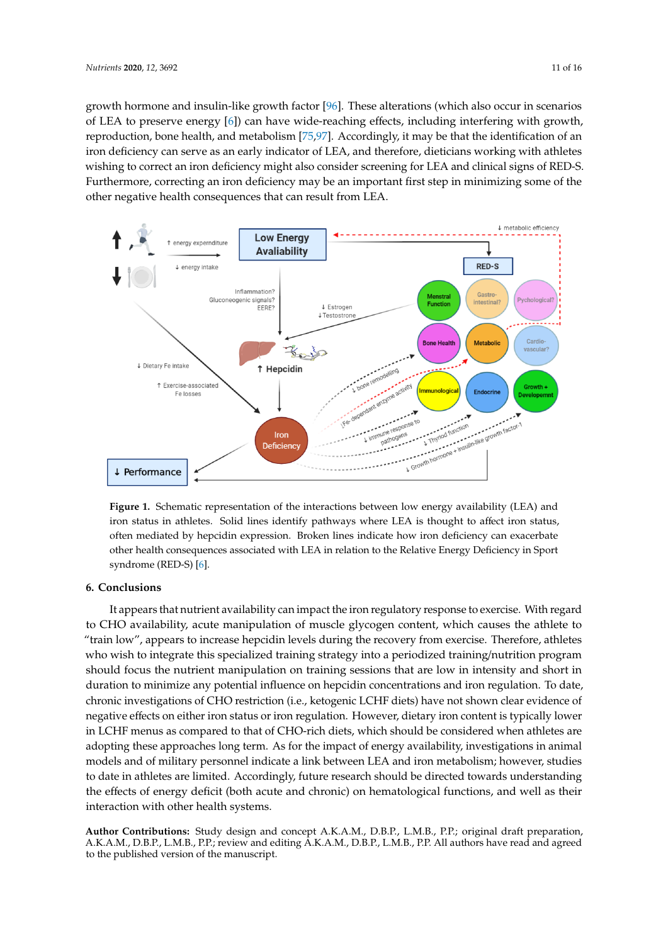growth hormone and insulin-like growth factor [\[96\]](#page-15-12). These alterations (which also occur in scenarios of LEA to preserve energy [\[6\]](#page-11-5)) can have wide-reaching effects, including interfering with growth, reproduction, bone health, and metabolism [\[75](#page-14-11)[,97\]](#page-15-13). Accordingly, it may be that the identification of an iron deficiency can serve as an early indicator of LEA, and therefore, dieticians working with athletes wishing to correct an iron deficiency might also consider screening for LEA and clinical signs of RED-S. Furthermore, correcting an iron deficiency may be an important first step in minimizing some of the other negative health consequences that can result from LEA. *Nutrients* **1** 

<span id="page-10-0"></span>

Figure 1. Schematic representation of the interactions between low energy availability (LEA) and iron status in athletes. Solid lines identify pathways where LEA is thought to affect iron status, often mediated by hepcidin expression. Broken lines indicate how iron deficiency can exacerbate other health consequences associated with LEA in relation to the Relative Energy Deficiency in Sport syndrome (RED-S) [6]. syndrome (RED-S) [\[6\]](#page-11-5).

# **6. Conclusions 6. Conclusions**

It appears that nutrient availability can impact the iron regulatory response to exercise. With to CHO availability, acute manipulation of muscle glycogen content, which causes the athlete to regard to CHO availability, acute manipulation of muscle glycogen content, which causes the athlete "train low", appears to increase hepcidin levels during the recovery from exercise. Therefore, athletes who wish to integrate this specialized training strategy into a periodized training/nutrition program should focus the nutrient manipulation on training sessions that are low in intensity and short in program should focus the nutrient manipulation on training sessions that are low in intensity and duration to minimize any potential influence on hepcidin concentrations and iron regulation. To date, short in duration to minimize any potential influence on hepcidin concentrations and iron regulation. chronic investigations of CHO restriction (i.e., ketogenic LCHF diets) have not shown clear evidence of negative effects on either iron status or iron regulation. However, dietary iron content is typically lower negative effects on either iron status or iron regulation. However, dietary iron content is typically lower in LCHF menus as compared to that of CHO-rich diets, which should be considered when athletes are adopting these approaches long term. As for the impact of energy availability, investigations in animal adopting these approaches long term. As for the impact of energy availability, investigations in animal models and of military personnel indicate a link between LEA and iron metabolism; however, studies to date in athletes are limited. Accordingly, future research should be directed towards understanding to date in athletes are limited. Accordingly, future research should be directed towards understanding metabolism; however, studies to date in attendingly, future research should be unceded to that should be in a the effects of energy deficit (both acute and chronic) on hematological functions, and well as their interaction with other health systems. It appears that nutrient availability can impact the iron regulatory response to exercise. With regard

Author Contributions: Study design and concept A.K.A.M., D.B.P., L.M.B., P.P.; original draft preparation, A.K.A.M., D.B.P., L.M.B., P.P.; review and editing A.K.A.M., D.B.P., L.M.B., P.P. All authors have read and A.K.A.M., D.B.P., L.M.B., P.P.; review and editing A.K.A.M., D.B.P., L.M.B., P.P. All authors have read and agreed to the published version of the manuscript.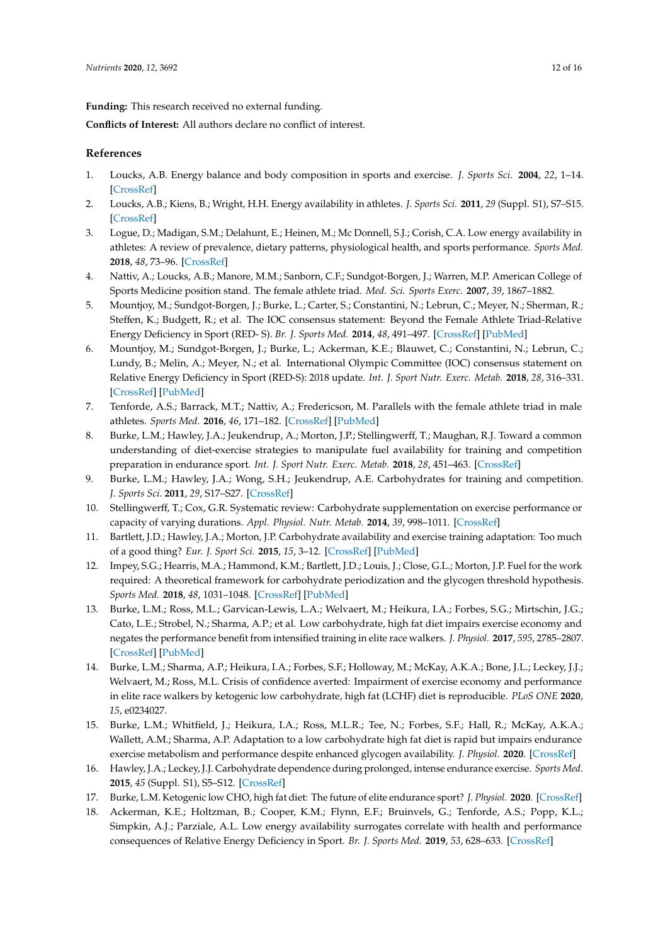**Funding:** This research received no external funding.

**Conflicts of Interest:** All authors declare no conflict of interest.

### **References**

- <span id="page-11-0"></span>1. Loucks, A.B. Energy balance and body composition in sports and exercise. *J. Sports Sci.* **2004**, *22*, 1–14. [\[CrossRef\]](http://dx.doi.org/10.1080/0264041031000140518)
- <span id="page-11-1"></span>2. Loucks, A.B.; Kiens, B.; Wright, H.H. Energy availability in athletes. *J. Sports Sci.* **2011**, *29* (Suppl. S1), S7–S15. [\[CrossRef\]](http://dx.doi.org/10.1080/02640414.2011.588958)
- <span id="page-11-2"></span>3. Logue, D.; Madigan, S.M.; Delahunt, E.; Heinen, M.; Mc Donnell, S.J.; Corish, C.A. Low energy availability in athletes: A review of prevalence, dietary patterns, physiological health, and sports performance. *Sports Med.* **2018**, *48*, 73–96. [\[CrossRef\]](http://dx.doi.org/10.1007/s40279-017-0790-3)
- <span id="page-11-3"></span>4. Nattiv, A.; Loucks, A.B.; Manore, M.M.; Sanborn, C.F.; Sundgot-Borgen, J.; Warren, M.P. American College of Sports Medicine position stand. The female athlete triad. *Med. Sci. Sports Exerc.* **2007**, *39*, 1867–1882.
- <span id="page-11-4"></span>5. Mountjoy, M.; Sundgot-Borgen, J.; Burke, L.; Carter, S.; Constantini, N.; Lebrun, C.; Meyer, N.; Sherman, R.; Steffen, K.; Budgett, R.; et al. The IOC consensus statement: Beyond the Female Athlete Triad-Relative Energy Deficiency in Sport (RED- S). *Br. J. Sports Med.* **2014**, *48*, 491–497. [\[CrossRef\]](http://dx.doi.org/10.1136/bjsports-2014-093502) [\[PubMed\]](http://www.ncbi.nlm.nih.gov/pubmed/24620037)
- <span id="page-11-5"></span>6. Mountjoy, M.; Sundgot-Borgen, J.; Burke, L.; Ackerman, K.E.; Blauwet, C.; Constantini, N.; Lebrun, C.; Lundy, B.; Melin, A.; Meyer, N.; et al. International Olympic Committee (IOC) consensus statement on Relative Energy Deficiency in Sport (RED-S): 2018 update. *Int. J. Sport Nutr. Exerc. Metab.* **2018**, *28*, 316–331. [\[CrossRef\]](http://dx.doi.org/10.1123/ijsnem.2018-0136) [\[PubMed\]](http://www.ncbi.nlm.nih.gov/pubmed/29771168)
- <span id="page-11-6"></span>7. Tenforde, A.S.; Barrack, M.T.; Nattiv, A.; Fredericson, M. Parallels with the female athlete triad in male athletes. *Sports Med.* **2016**, *46*, 171–182. [\[CrossRef\]](http://dx.doi.org/10.1007/s40279-015-0411-y) [\[PubMed\]](http://www.ncbi.nlm.nih.gov/pubmed/26497148)
- <span id="page-11-7"></span>8. Burke, L.M.; Hawley, J.A.; Jeukendrup, A.; Morton, J.P.; Stellingwerff, T.; Maughan, R.J. Toward a common understanding of diet-exercise strategies to manipulate fuel availability for training and competition preparation in endurance sport. *Int. J. Sport Nutr. Exerc. Metab.* **2018**, *28*, 451–463. [\[CrossRef\]](http://dx.doi.org/10.1123/ijsnem.2018-0289)
- <span id="page-11-8"></span>9. Burke, L.M.; Hawley, J.A.; Wong, S.H.; Jeukendrup, A.E. Carbohydrates for training and competition. *J. Sports Sci.* **2011**, *29*, S17–S27. [\[CrossRef\]](http://dx.doi.org/10.1080/02640414.2011.585473)
- <span id="page-11-9"></span>10. Stellingwerff, T.; Cox, G.R. Systematic review: Carbohydrate supplementation on exercise performance or capacity of varying durations. *Appl. Physiol. Nutr. Metab.* **2014**, *39*, 998–1011. [\[CrossRef\]](http://dx.doi.org/10.1139/apnm-2014-0027)
- <span id="page-11-10"></span>11. Bartlett, J.D.; Hawley, J.A.; Morton, J.P. Carbohydrate availability and exercise training adaptation: Too much of a good thing? *Eur. J. Sport Sci.* **2015**, *15*, 3–12. [\[CrossRef\]](http://dx.doi.org/10.1080/17461391.2014.920926) [\[PubMed\]](http://www.ncbi.nlm.nih.gov/pubmed/24942068)
- <span id="page-11-11"></span>12. Impey, S.G.; Hearris, M.A.; Hammond, K.M.; Bartlett, J.D.; Louis, J.; Close, G.L.; Morton, J.P. Fuel for the work required: A theoretical framework for carbohydrate periodization and the glycogen threshold hypothesis. *Sports Med.* **2018**, *48*, 1031–1048. [\[CrossRef\]](http://dx.doi.org/10.1007/s40279-018-0867-7) [\[PubMed\]](http://www.ncbi.nlm.nih.gov/pubmed/29453741)
- <span id="page-11-12"></span>13. Burke, L.M.; Ross, M.L.; Garvican-Lewis, L.A.; Welvaert, M.; Heikura, I.A.; Forbes, S.G.; Mirtschin, J.G.; Cato, L.E.; Strobel, N.; Sharma, A.P.; et al. Low carbohydrate, high fat diet impairs exercise economy and negates the performance benefit from intensified training in elite race walkers. *J. Physiol.* **2017**, *595*, 2785–2807. [\[CrossRef\]](http://dx.doi.org/10.1113/JP273230) [\[PubMed\]](http://www.ncbi.nlm.nih.gov/pubmed/28012184)
- <span id="page-11-17"></span>14. Burke, L.M.; Sharma, A.P.; Heikura, I.A.; Forbes, S.F.; Holloway, M.; McKay, A.K.A.; Bone, J.L.; Leckey, J.J.; Welvaert, M.; Ross, M.L. Crisis of confidence averted: Impairment of exercise economy and performance in elite race walkers by ketogenic low carbohydrate, high fat (LCHF) diet is reproducible. *PLoS ONE* **2020**, *15*, e0234027.
- <span id="page-11-13"></span>15. Burke, L.M.; Whitfield, J.; Heikura, I.A.; Ross, M.L.R.; Tee, N.; Forbes, S.F.; Hall, R.; McKay, A.K.A.; Wallett, A.M.; Sharma, A.P. Adaptation to a low carbohydrate high fat diet is rapid but impairs endurance exercise metabolism and performance despite enhanced glycogen availability. *J. Physiol.* **2020**. [\[CrossRef\]](http://dx.doi.org/10.1113/JP280221)
- <span id="page-11-14"></span>16. Hawley, J.A.; Leckey, J.J. Carbohydrate dependence during prolonged, intense endurance exercise. *Sports Med.* **2015**, *45* (Suppl. S1), S5–S12. [\[CrossRef\]](http://dx.doi.org/10.1007/s40279-015-0400-1)
- <span id="page-11-15"></span>17. Burke, L.M. Ketogenic low CHO, high fat diet: The future of elite endurance sport? *J. Physiol.* **2020**. [\[CrossRef\]](http://dx.doi.org/10.1113/JP278928)
- <span id="page-11-16"></span>18. Ackerman, K.E.; Holtzman, B.; Cooper, K.M.; Flynn, E.F.; Bruinvels, G.; Tenforde, A.S.; Popp, K.L.; Simpkin, A.J.; Parziale, A.L. Low energy availability surrogates correlate with health and performance consequences of Relative Energy Deficiency in Sport. *Br. J. Sports Med.* **2019**, *53*, 628–633. [\[CrossRef\]](http://dx.doi.org/10.1136/bjsports-2017-098958)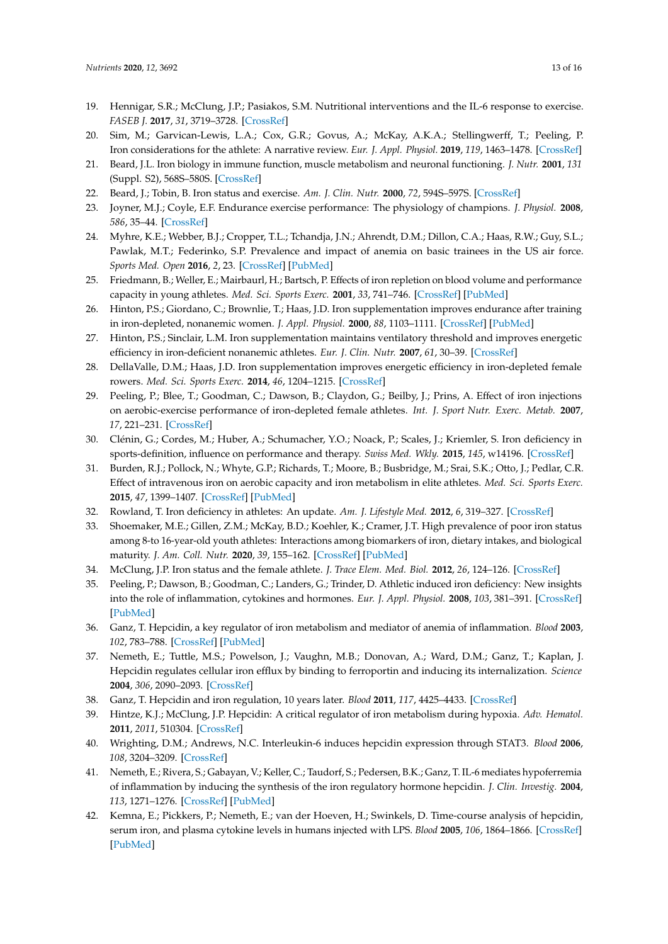- <span id="page-12-0"></span>19. Hennigar, S.R.; McClung, J.P.; Pasiakos, S.M. Nutritional interventions and the IL-6 response to exercise. *FASEB J.* **2017**, *31*, 3719–3728. [\[CrossRef\]](http://dx.doi.org/10.1096/fj.201700080R)
- <span id="page-12-1"></span>20. Sim, M.; Garvican-Lewis, L.A.; Cox, G.R.; Govus, A.; McKay, A.K.A.; Stellingwerff, T.; Peeling, P. Iron considerations for the athlete: A narrative review. *Eur. J. Appl. Physiol.* **2019**, *119*, 1463–1478. [\[CrossRef\]](http://dx.doi.org/10.1007/s00421-019-04157-y)
- <span id="page-12-2"></span>21. Beard, J.L. Iron biology in immune function, muscle metabolism and neuronal functioning. *J. Nutr.* **2001**, *131* (Suppl. S2), 568S–580S. [\[CrossRef\]](http://dx.doi.org/10.1093/jn/131.2.568S)
- <span id="page-12-3"></span>22. Beard, J.; Tobin, B. Iron status and exercise. *Am. J. Clin. Nutr.* **2000**, *72*, 594S–597S. [\[CrossRef\]](http://dx.doi.org/10.1093/ajcn/72.2.594S)
- <span id="page-12-4"></span>23. Joyner, M.J.; Coyle, E.F. Endurance exercise performance: The physiology of champions. *J. Physiol.* **2008**, *586*, 35–44. [\[CrossRef\]](http://dx.doi.org/10.1113/jphysiol.2007.143834)
- <span id="page-12-5"></span>24. Myhre, K.E.; Webber, B.J.; Cropper, T.L.; Tchandja, J.N.; Ahrendt, D.M.; Dillon, C.A.; Haas, R.W.; Guy, S.L.; Pawlak, M.T.; Federinko, S.P. Prevalence and impact of anemia on basic trainees in the US air force. *Sports Med. Open* **2016**, *2*, 23. [\[CrossRef\]](http://dx.doi.org/10.1186/s40798-016-0047-y) [\[PubMed\]](http://www.ncbi.nlm.nih.gov/pubmed/27239430)
- <span id="page-12-6"></span>25. Friedmann, B.; Weller, E.; Mairbaurl, H.; Bartsch, P. Effects of iron repletion on blood volume and performance capacity in young athletes. *Med. Sci. Sports Exerc.* **2001**, *33*, 741–746. [\[CrossRef\]](http://dx.doi.org/10.1097/00005768-200105000-00010) [\[PubMed\]](http://www.ncbi.nlm.nih.gov/pubmed/11323542)
- <span id="page-12-7"></span>26. Hinton, P.S.; Giordano, C.; Brownlie, T.; Haas, J.D. Iron supplementation improves endurance after training in iron-depleted, nonanemic women. *J. Appl. Physiol.* **2000**, *88*, 1103–1111. [\[CrossRef\]](http://dx.doi.org/10.1152/jappl.2000.88.3.1103) [\[PubMed\]](http://www.ncbi.nlm.nih.gov/pubmed/10710409)
- <span id="page-12-8"></span>27. Hinton, P.S.; Sinclair, L.M. Iron supplementation maintains ventilatory threshold and improves energetic efficiency in iron-deficient nonanemic athletes. *Eur. J. Clin. Nutr.* **2007**, *61*, 30–39. [\[CrossRef\]](http://dx.doi.org/10.1038/sj.ejcn.1602479)
- <span id="page-12-9"></span>28. DellaValle, D.M.; Haas, J.D. Iron supplementation improves energetic efficiency in iron-depleted female rowers. *Med. Sci. Sports Exerc.* **2014**, *46*, 1204–1215. [\[CrossRef\]](http://dx.doi.org/10.1249/MSS.0000000000000208)
- <span id="page-12-10"></span>29. Peeling, P.; Blee, T.; Goodman, C.; Dawson, B.; Claydon, G.; Beilby, J.; Prins, A. Effect of iron injections on aerobic-exercise performance of iron-depleted female athletes. *Int. J. Sport Nutr. Exerc. Metab.* **2007**, *17*, 221–231. [\[CrossRef\]](http://dx.doi.org/10.1123/ijsnem.17.3.221)
- 30. Clénin, G.; Cordes, M.; Huber, A.; Schumacher, Y.O.; Noack, P.; Scales, J.; Kriemler, S. Iron deficiency in sports-definition, influence on performance and therapy. *Swiss Med. Wkly.* **2015**, *145*, w14196. [\[CrossRef\]](http://dx.doi.org/10.4414/smw.2015.14196)
- <span id="page-12-11"></span>31. Burden, R.J.; Pollock, N.; Whyte, G.P.; Richards, T.; Moore, B.; Busbridge, M.; Srai, S.K.; Otto, J.; Pedlar, C.R. Effect of intravenous iron on aerobic capacity and iron metabolism in elite athletes. *Med. Sci. Sports Exerc.* **2015**, *47*, 1399–1407. [\[CrossRef\]](http://dx.doi.org/10.1249/MSS.0000000000000568) [\[PubMed\]](http://www.ncbi.nlm.nih.gov/pubmed/25386711)
- <span id="page-12-12"></span>32. Rowland, T. Iron deficiency in athletes: An update. *Am. J. Lifestyle Med.* **2012**, *6*, 319–327. [\[CrossRef\]](http://dx.doi.org/10.1177/1559827611431541)
- <span id="page-12-13"></span>33. Shoemaker, M.E.; Gillen, Z.M.; McKay, B.D.; Koehler, K.; Cramer, J.T. High prevalence of poor iron status among 8-to 16-year-old youth athletes: Interactions among biomarkers of iron, dietary intakes, and biological maturity. *J. Am. Coll. Nutr.* **2020**, *39*, 155–162. [\[CrossRef\]](http://dx.doi.org/10.1080/07315724.2019.1621229) [\[PubMed\]](http://www.ncbi.nlm.nih.gov/pubmed/31339828)
- <span id="page-12-14"></span>34. McClung, J.P. Iron status and the female athlete. *J. Trace Elem. Med. Biol.* **2012**, *26*, 124–126. [\[CrossRef\]](http://dx.doi.org/10.1016/j.jtemb.2012.03.006)
- <span id="page-12-15"></span>35. Peeling, P.; Dawson, B.; Goodman, C.; Landers, G.; Trinder, D. Athletic induced iron deficiency: New insights into the role of inflammation, cytokines and hormones. *Eur. J. Appl. Physiol.* **2008**, *103*, 381–391. [\[CrossRef\]](http://dx.doi.org/10.1007/s00421-008-0726-6) [\[PubMed\]](http://www.ncbi.nlm.nih.gov/pubmed/18365240)
- <span id="page-12-16"></span>36. Ganz, T. Hepcidin, a key regulator of iron metabolism and mediator of anemia of inflammation. *Blood* **2003**, *102*, 783–788. [\[CrossRef\]](http://dx.doi.org/10.1182/blood-2003-03-0672) [\[PubMed\]](http://www.ncbi.nlm.nih.gov/pubmed/12663437)
- <span id="page-12-17"></span>37. Nemeth, E.; Tuttle, M.S.; Powelson, J.; Vaughn, M.B.; Donovan, A.; Ward, D.M.; Ganz, T.; Kaplan, J. Hepcidin regulates cellular iron efflux by binding to ferroportin and inducing its internalization. *Science* **2004**, *306*, 2090–2093. [\[CrossRef\]](http://dx.doi.org/10.1126/science.1104742)
- <span id="page-12-19"></span><span id="page-12-18"></span>38. Ganz, T. Hepcidin and iron regulation, 10 years later. *Blood* **2011**, *117*, 4425–4433. [\[CrossRef\]](http://dx.doi.org/10.1182/blood-2011-01-258467)
- 39. Hintze, K.J.; McClung, J.P. Hepcidin: A critical regulator of iron metabolism during hypoxia. *Adv. Hematol.* **2011**, *2011*, 510304. [\[CrossRef\]](http://dx.doi.org/10.1155/2011/510304)
- <span id="page-12-20"></span>40. Wrighting, D.M.; Andrews, N.C. Interleukin-6 induces hepcidin expression through STAT3. *Blood* **2006**, *108*, 3204–3209. [\[CrossRef\]](http://dx.doi.org/10.1182/blood-2006-06-027631)
- <span id="page-12-21"></span>41. Nemeth, E.; Rivera, S.; Gabayan, V.; Keller, C.; Taudorf, S.; Pedersen, B.K.; Ganz, T. IL-6 mediates hypoferremia of inflammation by inducing the synthesis of the iron regulatory hormone hepcidin. *J. Clin. Investig.* **2004**, *113*, 1271–1276. [\[CrossRef\]](http://dx.doi.org/10.1172/JCI200420945) [\[PubMed\]](http://www.ncbi.nlm.nih.gov/pubmed/15124018)
- <span id="page-12-22"></span>42. Kemna, E.; Pickkers, P.; Nemeth, E.; van der Hoeven, H.; Swinkels, D. Time-course analysis of hepcidin, serum iron, and plasma cytokine levels in humans injected with LPS. *Blood* **2005**, *106*, 1864–1866. [\[CrossRef\]](http://dx.doi.org/10.1182/blood-2005-03-1159) [\[PubMed\]](http://www.ncbi.nlm.nih.gov/pubmed/15886319)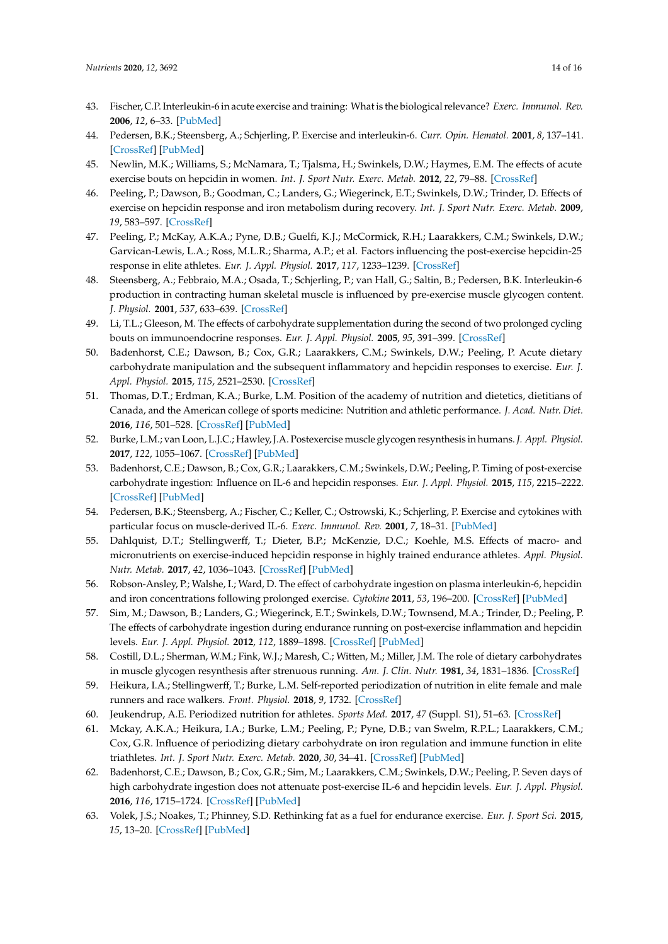- <span id="page-13-0"></span>43. Fischer, C.P. Interleukin-6 in acute exercise and training: What is the biological relevance? *Exerc. Immunol. Rev.* **2006**, *12*, 6–33. [\[PubMed\]](http://www.ncbi.nlm.nih.gov/pubmed/17201070)
- <span id="page-13-1"></span>44. Pedersen, B.K.; Steensberg, A.; Schjerling, P. Exercise and interleukin-6. *Curr. Opin. Hematol.* **2001**, *8*, 137–141. [\[CrossRef\]](http://dx.doi.org/10.1097/00062752-200105000-00002) [\[PubMed\]](http://www.ncbi.nlm.nih.gov/pubmed/11303145)
- <span id="page-13-2"></span>45. Newlin, M.K.; Williams, S.; McNamara, T.; Tjalsma, H.; Swinkels, D.W.; Haymes, E.M. The effects of acute exercise bouts on hepcidin in women. *Int. J. Sport Nutr. Exerc. Metab.* **2012**, *22*, 79–88. [\[CrossRef\]](http://dx.doi.org/10.1123/ijsnem.22.2.79)
- <span id="page-13-3"></span>46. Peeling, P.; Dawson, B.; Goodman, C.; Landers, G.; Wiegerinck, E.T.; Swinkels, D.W.; Trinder, D. Effects of exercise on hepcidin response and iron metabolism during recovery. *Int. J. Sport Nutr. Exerc. Metab.* **2009**, *19*, 583–597. [\[CrossRef\]](http://dx.doi.org/10.1123/ijsnem.19.6.583)
- <span id="page-13-4"></span>47. Peeling, P.; McKay, A.K.A.; Pyne, D.B.; Guelfi, K.J.; McCormick, R.H.; Laarakkers, C.M.; Swinkels, D.W.; Garvican-Lewis, L.A.; Ross, M.L.R.; Sharma, A.P.; et al. Factors influencing the post-exercise hepcidin-25 response in elite athletes. *Eur. J. Appl. Physiol.* **2017**, *117*, 1233–1239. [\[CrossRef\]](http://dx.doi.org/10.1007/s00421-017-3611-3)
- <span id="page-13-5"></span>48. Steensberg, A.; Febbraio, M.A.; Osada, T.; Schjerling, P.; van Hall, G.; Saltin, B.; Pedersen, B.K. Interleukin-6 production in contracting human skeletal muscle is influenced by pre-exercise muscle glycogen content. *J. Physiol.* **2001**, *537*, 633–639. [\[CrossRef\]](http://dx.doi.org/10.1111/j.1469-7793.2001.00633.x)
- <span id="page-13-6"></span>49. Li, T.L.; Gleeson, M. The effects of carbohydrate supplementation during the second of two prolonged cycling bouts on immunoendocrine responses. *Eur. J. Appl. Physiol.* **2005**, *95*, 391–399. [\[CrossRef\]](http://dx.doi.org/10.1007/s00421-005-0024-5)
- <span id="page-13-7"></span>50. Badenhorst, C.E.; Dawson, B.; Cox, G.R.; Laarakkers, C.M.; Swinkels, D.W.; Peeling, P. Acute dietary carbohydrate manipulation and the subsequent inflammatory and hepcidin responses to exercise. *Eur. J. Appl. Physiol.* **2015**, *115*, 2521–2530. [\[CrossRef\]](http://dx.doi.org/10.1007/s00421-015-3252-3)
- <span id="page-13-8"></span>51. Thomas, D.T.; Erdman, K.A.; Burke, L.M. Position of the academy of nutrition and dietetics, dietitians of Canada, and the American college of sports medicine: Nutrition and athletic performance. *J. Acad. Nutr. Diet.* **2016**, *116*, 501–528. [\[CrossRef\]](http://dx.doi.org/10.1016/j.jand.2015.12.006) [\[PubMed\]](http://www.ncbi.nlm.nih.gov/pubmed/26920240)
- <span id="page-13-9"></span>52. Burke, L.M.; van Loon, L.J.C.; Hawley, J.A. Postexercise muscle glycogen resynthesis in humans.*J. Appl. Physiol.* **2017**, *122*, 1055–1067. [\[CrossRef\]](http://dx.doi.org/10.1152/japplphysiol.00860.2016) [\[PubMed\]](http://www.ncbi.nlm.nih.gov/pubmed/27789774)
- <span id="page-13-10"></span>53. Badenhorst, C.E.; Dawson, B.; Cox, G.R.; Laarakkers, C.M.; Swinkels, D.W.; Peeling, P. Timing of post-exercise carbohydrate ingestion: Influence on IL-6 and hepcidin responses. *Eur. J. Appl. Physiol.* **2015**, *115*, 2215–2222. [\[CrossRef\]](http://dx.doi.org/10.1007/s00421-015-3202-0) [\[PubMed\]](http://www.ncbi.nlm.nih.gov/pubmed/26084589)
- <span id="page-13-11"></span>54. Pedersen, B.K.; Steensberg, A.; Fischer, C.; Keller, C.; Ostrowski, K.; Schjerling, P. Exercise and cytokines with particular focus on muscle-derived IL-6. *Exerc. Immunol. Rev.* **2001**, *7*, 18–31. [\[PubMed\]](http://www.ncbi.nlm.nih.gov/pubmed/11579746)
- <span id="page-13-12"></span>55. Dahlquist, D.T.; Stellingwerff, T.; Dieter, B.P.; McKenzie, D.C.; Koehle, M.S. Effects of macro- and micronutrients on exercise-induced hepcidin response in highly trained endurance athletes. *Appl. Physiol. Nutr. Metab.* **2017**, *42*, 1036–1043. [\[CrossRef\]](http://dx.doi.org/10.1139/apnm-2017-0207) [\[PubMed\]](http://www.ncbi.nlm.nih.gov/pubmed/28605609)
- <span id="page-13-13"></span>56. Robson-Ansley, P.; Walshe, I.; Ward, D. The effect of carbohydrate ingestion on plasma interleukin-6, hepcidin and iron concentrations following prolonged exercise. *Cytokine* **2011**, *53*, 196–200. [\[CrossRef\]](http://dx.doi.org/10.1016/j.cyto.2010.10.001) [\[PubMed\]](http://www.ncbi.nlm.nih.gov/pubmed/21095135)
- <span id="page-13-14"></span>57. Sim, M.; Dawson, B.; Landers, G.; Wiegerinck, E.T.; Swinkels, D.W.; Townsend, M.A.; Trinder, D.; Peeling, P. The effects of carbohydrate ingestion during endurance running on post-exercise inflammation and hepcidin levels. *Eur. J. Appl. Physiol.* **2012**, *112*, 1889–1898. [\[CrossRef\]](http://dx.doi.org/10.1007/s00421-011-2156-0) [\[PubMed\]](http://www.ncbi.nlm.nih.gov/pubmed/21922263)
- <span id="page-13-15"></span>58. Costill, D.L.; Sherman, W.M.; Fink, W.J.; Maresh, C.; Witten, M.; Miller, J.M. The role of dietary carbohydrates in muscle glycogen resynthesis after strenuous running. *Am. J. Clin. Nutr.* **1981**, *34*, 1831–1836. [\[CrossRef\]](http://dx.doi.org/10.1093/ajcn/34.9.1831)
- <span id="page-13-16"></span>59. Heikura, I.A.; Stellingwerff, T.; Burke, L.M. Self-reported periodization of nutrition in elite female and male runners and race walkers. *Front. Physiol.* **2018**, *9*, 1732. [\[CrossRef\]](http://dx.doi.org/10.3389/fphys.2018.01732)
- <span id="page-13-18"></span><span id="page-13-17"></span>60. Jeukendrup, A.E. Periodized nutrition for athletes. *Sports Med.* **2017**, *47* (Suppl. S1), 51–63. [\[CrossRef\]](http://dx.doi.org/10.1007/s40279-017-0694-2)
- 61. Mckay, A.K.A.; Heikura, I.A.; Burke, L.M.; Peeling, P.; Pyne, D.B.; van Swelm, R.P.L.; Laarakkers, C.M.; Cox, G.R. Influence of periodizing dietary carbohydrate on iron regulation and immune function in elite triathletes. *Int. J. Sport Nutr. Exerc. Metab.* **2020**, *30*, 34–41. [\[CrossRef\]](http://dx.doi.org/10.1123/ijsnem.2019-0131) [\[PubMed\]](http://www.ncbi.nlm.nih.gov/pubmed/31629353)
- <span id="page-13-19"></span>62. Badenhorst, C.E.; Dawson, B.; Cox, G.R.; Sim, M.; Laarakkers, C.M.; Swinkels, D.W.; Peeling, P. Seven days of high carbohydrate ingestion does not attenuate post-exercise IL-6 and hepcidin levels. *Eur. J. Appl. Physiol.* **2016**, *116*, 1715–1724. [\[CrossRef\]](http://dx.doi.org/10.1007/s00421-016-3426-7) [\[PubMed\]](http://www.ncbi.nlm.nih.gov/pubmed/27379793)
- <span id="page-13-20"></span>63. Volek, J.S.; Noakes, T.; Phinney, S.D. Rethinking fat as a fuel for endurance exercise. *Eur. J. Sport Sci.* **2015**, *15*, 13–20. [\[CrossRef\]](http://dx.doi.org/10.1080/17461391.2014.959564) [\[PubMed\]](http://www.ncbi.nlm.nih.gov/pubmed/25275931)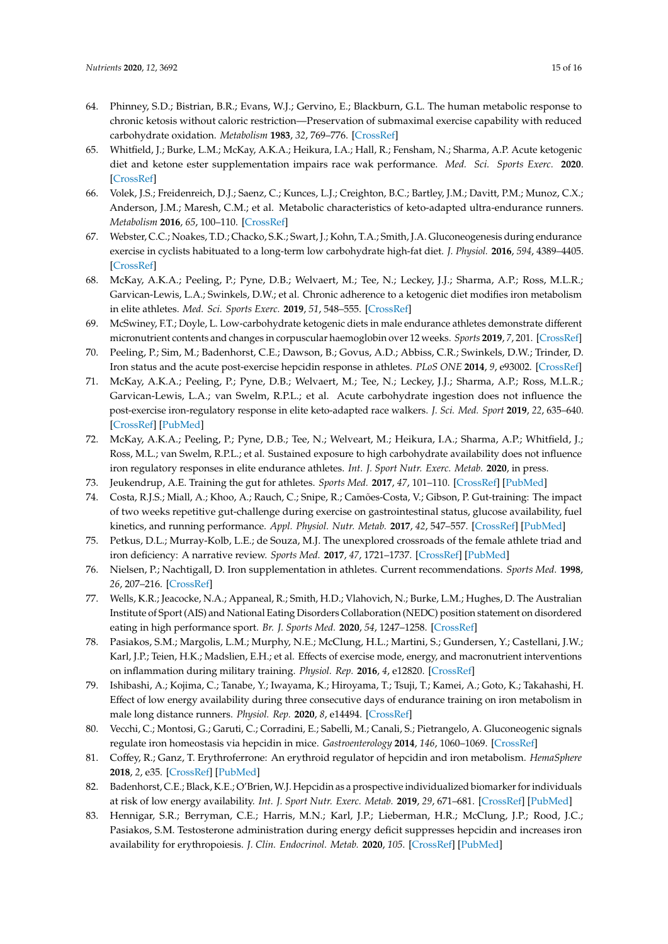- <span id="page-14-0"></span>64. Phinney, S.D.; Bistrian, B.R.; Evans, W.J.; Gervino, E.; Blackburn, G.L. The human metabolic response to chronic ketosis without caloric restriction—Preservation of submaximal exercise capability with reduced carbohydrate oxidation. *Metabolism* **1983**, *32*, 769–776. [\[CrossRef\]](http://dx.doi.org/10.1016/0026-0495(83)90106-3)
- <span id="page-14-1"></span>65. Whitfield, J.; Burke, L.M.; McKay, A.K.A.; Heikura, I.A.; Hall, R.; Fensham, N.; Sharma, A.P. Acute ketogenic diet and ketone ester supplementation impairs race wak performance. *Med. Sci. Sports Exerc.* **2020**. [\[CrossRef\]](http://dx.doi.org/10.1249/MSS.0000000000002517)
- <span id="page-14-2"></span>66. Volek, J.S.; Freidenreich, D.J.; Saenz, C.; Kunces, L.J.; Creighton, B.C.; Bartley, J.M.; Davitt, P.M.; Munoz, C.X.; Anderson, J.M.; Maresh, C.M.; et al. Metabolic characteristics of keto-adapted ultra-endurance runners. *Metabolism* **2016**, *65*, 100–110. [\[CrossRef\]](http://dx.doi.org/10.1016/j.metabol.2015.10.028)
- <span id="page-14-3"></span>67. Webster, C.C.; Noakes, T.D.; Chacko, S.K.; Swart, J.; Kohn, T.A.; Smith, J.A. Gluconeogenesis during endurance exercise in cyclists habituated to a long-term low carbohydrate high-fat diet. *J. Physiol.* **2016**, *594*, 4389–4405. [\[CrossRef\]](http://dx.doi.org/10.1113/JP271934)
- <span id="page-14-4"></span>68. McKay, A.K.A.; Peeling, P.; Pyne, D.B.; Welvaert, M.; Tee, N.; Leckey, J.J.; Sharma, A.P.; Ross, M.L.R.; Garvican-Lewis, L.A.; Swinkels, D.W.; et al. Chronic adherence to a ketogenic diet modifies iron metabolism in elite athletes. *Med. Sci. Sports Exerc.* **2019**, *51*, 548–555. [\[CrossRef\]](http://dx.doi.org/10.1249/MSS.0000000000001816)
- <span id="page-14-5"></span>69. McSwiney, F.T.; Doyle, L. Low-carbohydrate ketogenic diets in male endurance athletes demonstrate different micronutrient contents and changes in corpuscular haemoglobin over 12 weeks. *Sports* **2019**, *7*, 201. [\[CrossRef\]](http://dx.doi.org/10.3390/sports7090201)
- <span id="page-14-6"></span>70. Peeling, P.; Sim, M.; Badenhorst, C.E.; Dawson, B.; Govus, A.D.; Abbiss, C.R.; Swinkels, D.W.; Trinder, D. Iron status and the acute post-exercise hepcidin response in athletes. *PLoS ONE* **2014**, *9*, e93002. [\[CrossRef\]](http://dx.doi.org/10.1371/journal.pone.0093002)
- <span id="page-14-7"></span>71. McKay, A.K.A.; Peeling, P.; Pyne, D.B.; Welvaert, M.; Tee, N.; Leckey, J.J.; Sharma, A.P.; Ross, M.L.R.; Garvican-Lewis, L.A.; van Swelm, R.P.L.; et al. Acute carbohydrate ingestion does not influence the post-exercise iron-regulatory response in elite keto-adapted race walkers. *J. Sci. Med. Sport* **2019**, *22*, 635–640. [\[CrossRef\]](http://dx.doi.org/10.1016/j.jsams.2018.12.015) [\[PubMed\]](http://www.ncbi.nlm.nih.gov/pubmed/30630742)
- <span id="page-14-8"></span>72. McKay, A.K.A.; Peeling, P.; Pyne, D.B.; Tee, N.; Welveart, M.; Heikura, I.A.; Sharma, A.P.; Whitfield, J.; Ross, M.L.; van Swelm, R.P.L.; et al. Sustained exposure to high carbohydrate availability does not influence iron regulatory responses in elite endurance athletes. *Int. J. Sport Nutr. Exerc. Metab.* **2020**, in press.
- <span id="page-14-9"></span>73. Jeukendrup, A.E. Training the gut for athletes. *Sports Med.* **2017**, *47*, 101–110. [\[CrossRef\]](http://dx.doi.org/10.1007/s40279-017-0690-6) [\[PubMed\]](http://www.ncbi.nlm.nih.gov/pubmed/28332114)
- <span id="page-14-10"></span>74. Costa, R.J.S.; Miall, A.; Khoo, A.; Rauch, C.; Snipe, R.; Camões-Costa, V.; Gibson, P. Gut-training: The impact of two weeks repetitive gut-challenge during exercise on gastrointestinal status, glucose availability, fuel kinetics, and running performance. *Appl. Physiol. Nutr. Metab.* **2017**, *42*, 547–557. [\[CrossRef\]](http://dx.doi.org/10.1139/apnm-2016-0453) [\[PubMed\]](http://www.ncbi.nlm.nih.gov/pubmed/28177715)
- <span id="page-14-11"></span>75. Petkus, D.L.; Murray-Kolb, L.E.; de Souza, M.J. The unexplored crossroads of the female athlete triad and iron deficiency: A narrative review. *Sports Med.* **2017**, *47*, 1721–1737. [\[CrossRef\]](http://dx.doi.org/10.1007/s40279-017-0706-2) [\[PubMed\]](http://www.ncbi.nlm.nih.gov/pubmed/28290159)
- <span id="page-14-12"></span>76. Nielsen, P.; Nachtigall, D. Iron supplementation in athletes. Current recommendations. *Sports Med.* **1998**, *26*, 207–216. [\[CrossRef\]](http://dx.doi.org/10.2165/00007256-199826040-00001)
- <span id="page-14-13"></span>77. Wells, K.R.; Jeacocke, N.A.; Appaneal, R.; Smith, H.D.; Vlahovich, N.; Burke, L.M.; Hughes, D. The Australian Institute of Sport (AIS) and National Eating Disorders Collaboration (NEDC) position statement on disordered eating in high performance sport. *Br. J. Sports Med.* **2020**, *54*, 1247–1258. [\[CrossRef\]](http://dx.doi.org/10.1136/bjsports-2019-101813)
- <span id="page-14-14"></span>78. Pasiakos, S.M.; Margolis, L.M.; Murphy, N.E.; McClung, H.L.; Martini, S.; Gundersen, Y.; Castellani, J.W.; Karl, J.P.; Teien, H.K.; Madslien, E.H.; et al. Effects of exercise mode, energy, and macronutrient interventions on inflammation during military training. *Physiol. Rep.* **2016**, *4*, e12820. [\[CrossRef\]](http://dx.doi.org/10.14814/phy2.12820)
- <span id="page-14-15"></span>79. Ishibashi, A.; Kojima, C.; Tanabe, Y.; Iwayama, K.; Hiroyama, T.; Tsuji, T.; Kamei, A.; Goto, K.; Takahashi, H. Effect of low energy availability during three consecutive days of endurance training on iron metabolism in male long distance runners. *Physiol. Rep.* **2020**, *8*, e14494. [\[CrossRef\]](http://dx.doi.org/10.14814/phy2.14494)
- <span id="page-14-16"></span>80. Vecchi, C.; Montosi, G.; Garuti, C.; Corradini, E.; Sabelli, M.; Canali, S.; Pietrangelo, A. Gluconeogenic signals regulate iron homeostasis via hepcidin in mice. *Gastroenterology* **2014**, *146*, 1060–1069. [\[CrossRef\]](http://dx.doi.org/10.1053/j.gastro.2013.12.016)
- <span id="page-14-17"></span>81. Coffey, R.; Ganz, T. Erythroferrone: An erythroid regulator of hepcidin and iron metabolism. *HemaSphere* **2018**, *2*, e35. [\[CrossRef\]](http://dx.doi.org/10.1097/HS9.0000000000000035) [\[PubMed\]](http://www.ncbi.nlm.nih.gov/pubmed/31723763)
- <span id="page-14-18"></span>82. Badenhorst, C.E.; Black, K.E.; O'Brien, W.J. Hepcidin as a prospective individualized biomarker for individuals at risk of low energy availability. *Int. J. Sport Nutr. Exerc. Metab.* **2019**, *29*, 671–681. [\[CrossRef\]](http://dx.doi.org/10.1123/ijsnem.2019-0006) [\[PubMed\]](http://www.ncbi.nlm.nih.gov/pubmed/31034252)
- <span id="page-14-19"></span>83. Hennigar, S.R.; Berryman, C.E.; Harris, M.N.; Karl, J.P.; Lieberman, H.R.; McClung, J.P.; Rood, J.C.; Pasiakos, S.M. Testosterone administration during energy deficit suppresses hepcidin and increases iron availability for erythropoiesis. *J. Clin. Endocrinol. Metab.* **2020**, *105*. [\[CrossRef\]](http://dx.doi.org/10.1210/clinem/dgz316) [\[PubMed\]](http://www.ncbi.nlm.nih.gov/pubmed/31894236)